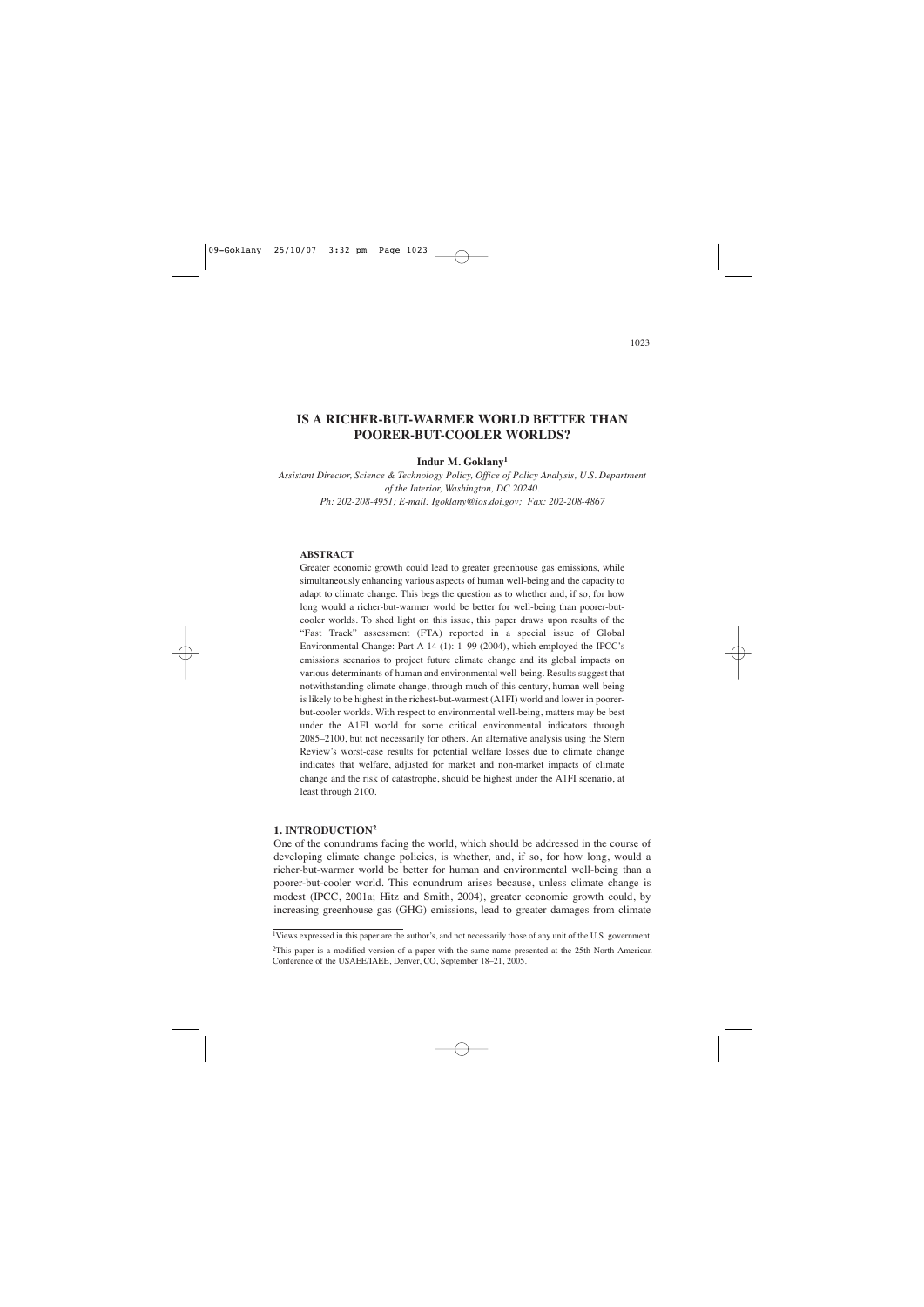# **IS A RICHER-BUT-WARMER WORLD BETTER THAN POORER-BUT-COOLER WORLDS?**

**Indur M. Goklany1**

*Assistant Director, Science & Technology Policy, Office of Policy Analysis, U.S. Department of the Interior, Washington, DC 20240. Ph: 202-208-4951; E-mail: Igoklany@ios.doi.gov; Fax: 202-208-4867*

#### **ABSTRACT**

Greater economic growth could lead to greater greenhouse gas emissions, while simultaneously enhancing various aspects of human well-being and the capacity to adapt to climate change. This begs the question as to whether and, if so, for how long would a richer-but-warmer world be better for well-being than poorer-butcooler worlds. To shed light on this issue, this paper draws upon results of the "Fast Track" assessment (FTA) reported in a special issue of Global Environmental Change: Part A 14 (1): 1–99 (2004), which employed the IPCC's emissions scenarios to project future climate change and its global impacts on various determinants of human and environmental well-being. Results suggest that notwithstanding climate change, through much of this century, human well-being is likely to be highest in the richest-but-warmest (A1FI) world and lower in poorerbut-cooler worlds. With respect to environmental well-being, matters may be best under the A1FI world for some critical environmental indicators through 2085–2100, but not necessarily for others. An alternative analysis using the Stern Review's worst-case results for potential welfare losses due to climate change indicates that welfare, adjusted for market and non-market impacts of climate change and the risk of catastrophe, should be highest under the A1FI scenario, at least through 2100.

### **1. INTRODUCTION2**

One of the conundrums facing the world, which should be addressed in the course of developing climate change policies, is whether, and, if so, for how long, would a richer-but-warmer world be better for human and environmental well-being than a poorer-but-cooler world. This conundrum arises because, unless climate change is modest (IPCC, 2001a; Hitz and Smith, 2004), greater economic growth could, by increasing greenhouse gas (GHG) emissions, lead to greater damages from climate

<sup>1</sup>Views expressed in this paper are the author's, and not necessarily those of any unit of the U.S. government.

<sup>2</sup>This paper is a modified version of a paper with the same name presented at the 25th North American Conference of the USAEE/IAEE, Denver, CO, September 18–21, 2005.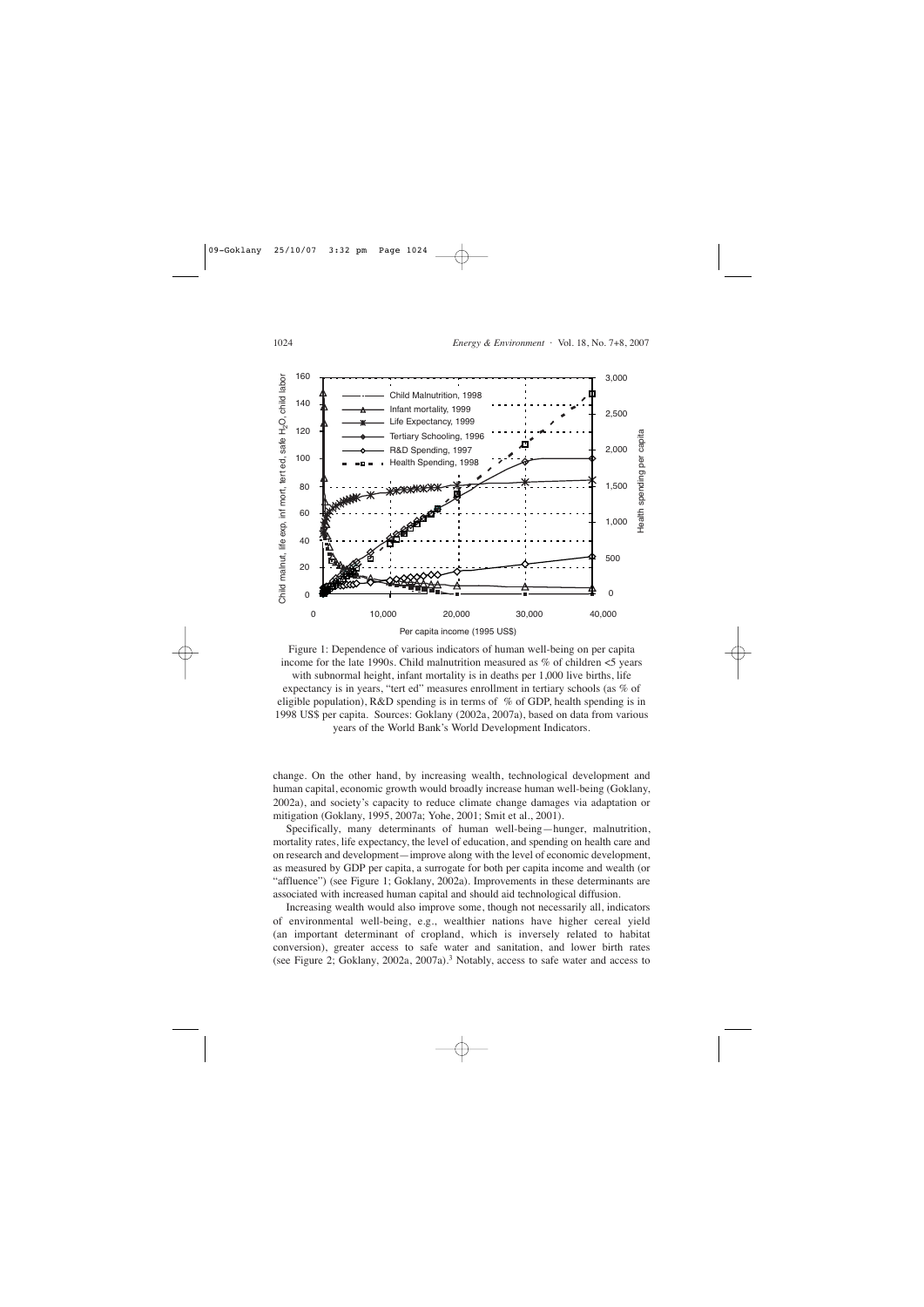

Figure 1: Dependence of various indicators of human well-being on per capita income for the late 1990s. Child malnutrition measured as  $%$  of children  $<$ 5 years with subnormal height, infant mortality is in deaths per 1,000 live births, life expectancy is in years, "tert ed" measures enrollment in tertiary schools (as % of eligible population),  $R&D$  spending is in terms of % of GDP, health spending is in 1998 US\$ per capita. Sources: Goklany (2002a, 2007a), based on data from various years of the World Bank's World Development Indicators.

change. On the other hand, by increasing wealth, technological development and human capital, economic growth would broadly increase human well-being (Goklany, 2002a), and society's capacity to reduce climate change damages via adaptation or mitigation (Goklany, 1995, 2007a; Yohe, 2001; Smit et al., 2001).

Specifically, many determinants of human well-being—hunger, malnutrition, mortality rates, life expectancy, the level of education, and spending on health care and on research and development—improve along with the level of economic development, as measured by GDP per capita, a surrogate for both per capita income and wealth (or "affluence") (see Figure 1; Goklany, 2002a). Improvements in these determinants are associated with increased human capital and should aid technological diffusion.

Increasing wealth would also improve some, though not necessarily all, indicators of environmental well-being, e.g., wealthier nations have higher cereal yield (an important determinant of cropland, which is inversely related to habitat conversion), greater access to safe water and sanitation, and lower birth rates (see Figure 2; Goklany, 2002a, 2007a).3 Notably, access to safe water and access to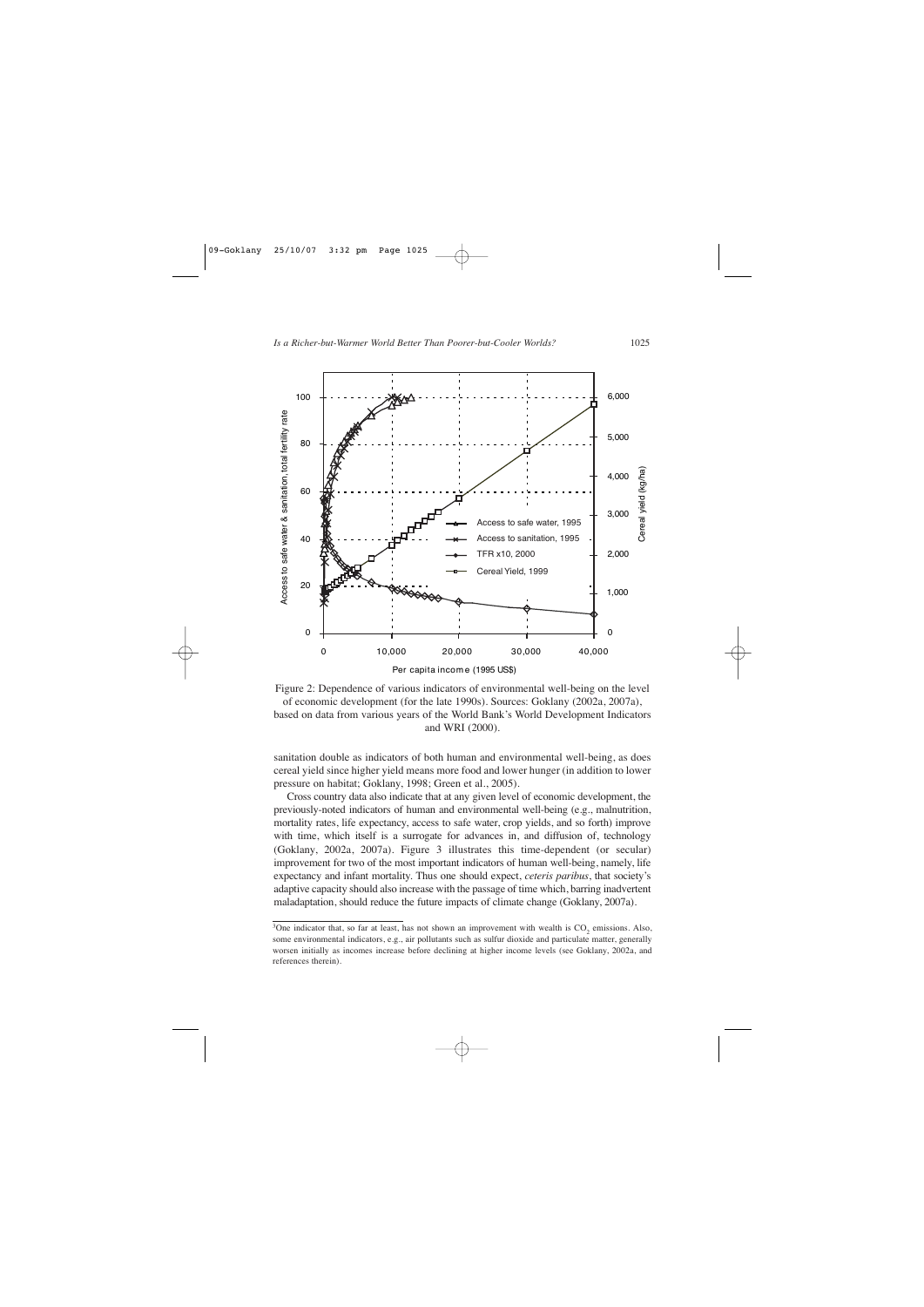



sanitation double as indicators of both human and environmental well-being, as does cereal yield since higher yield means more food and lower hunger (in addition to lower pressure on habitat; Goklany, 1998; Green et al., 2005).

Cross country data also indicate that at any given level of economic development, the previously-noted indicators of human and environmental well-being (e.g., malnutrition, mortality rates, life expectancy, access to safe water, crop yields, and so forth) improve with time, which itself is a surrogate for advances in, and diffusion of, technology (Goklany, 2002a, 2007a). Figure 3 illustrates this time-dependent (or secular) improvement for two of the most important indicators of human well-being, namely, life expectancy and infant mortality. Thus one should expect, *ceteris paribus*, that society's adaptive capacity should also increase with the passage of time which, barring inadvertent maladaptation, should reduce the future impacts of climate change (Goklany, 2007a).

<sup>&</sup>lt;sup>3</sup>One indicator that, so far at least, has not shown an improvement with wealth is  $CO<sub>2</sub>$  emissions. Also, some environmental indicators, e.g., air pollutants such as sulfur dioxide and particulate matter, generally worsen initially as incomes increase before declining at higher income levels (see Goklany, 2002a, and references therein).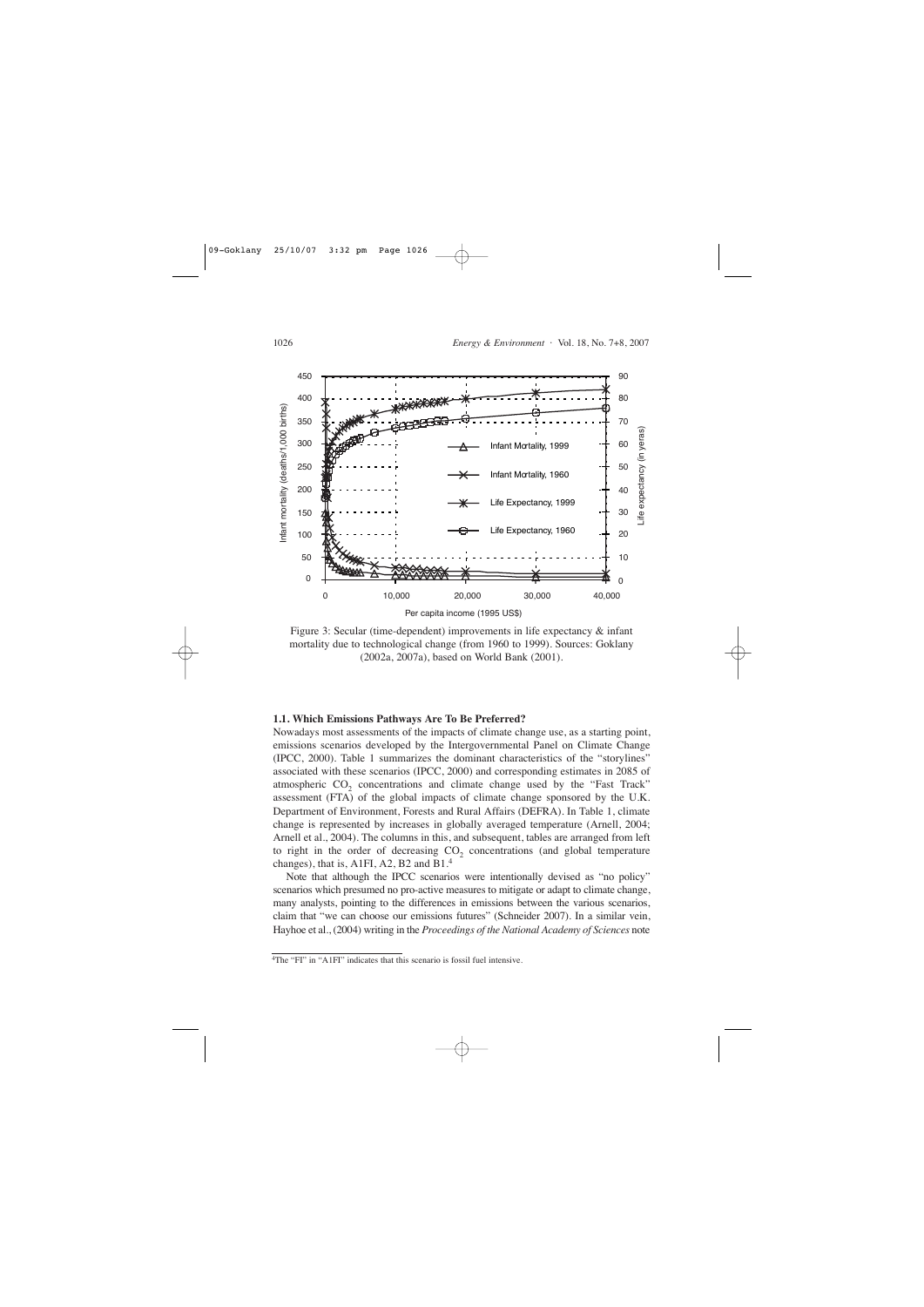

Figure 3: Secular (time-dependent) improvements in life expectancy & infant mortality due to technological change (from 1960 to 1999). Sources: Goklany (2002a, 2007a), based on World Bank (2001).

#### **1.1. Which Emissions Pathways Are To Be Preferred?**

Nowadays most assessments of the impacts of climate change use, as a starting point, emissions scenarios developed by the Intergovernmental Panel on Climate Change (IPCC, 2000). Table 1 summarizes the dominant characteristics of the "storylines" associated with these scenarios (IPCC, 2000) and corresponding estimates in 2085 of atmospheric  $CO<sub>2</sub>$  concentrations and climate change used by the "Fast Track" assessment (FTA) of the global impacts of climate change sponsored by the U.K. Department of Environment, Forests and Rural Affairs (DEFRA). In Table 1, climate change is represented by increases in globally averaged temperature (Arnell, 2004; Arnell et al., 2004). The columns in this, and subsequent, tables are arranged from left to right in the order of decreasing  $CO<sub>2</sub>$  concentrations (and global temperature changes), that is, A1FI, A2, B2 and B1.<sup>4</sup>

Note that although the IPCC scenarios were intentionally devised as "no policy" scenarios which presumed no pro-active measures to mitigate or adapt to climate change, many analysts, pointing to the differences in emissions between the various scenarios, claim that "we can choose our emissions futures" (Schneider 2007). In a similar vein, Hayhoe et al., (2004) writing in the *Proceedings of the National Academy of Sciences* note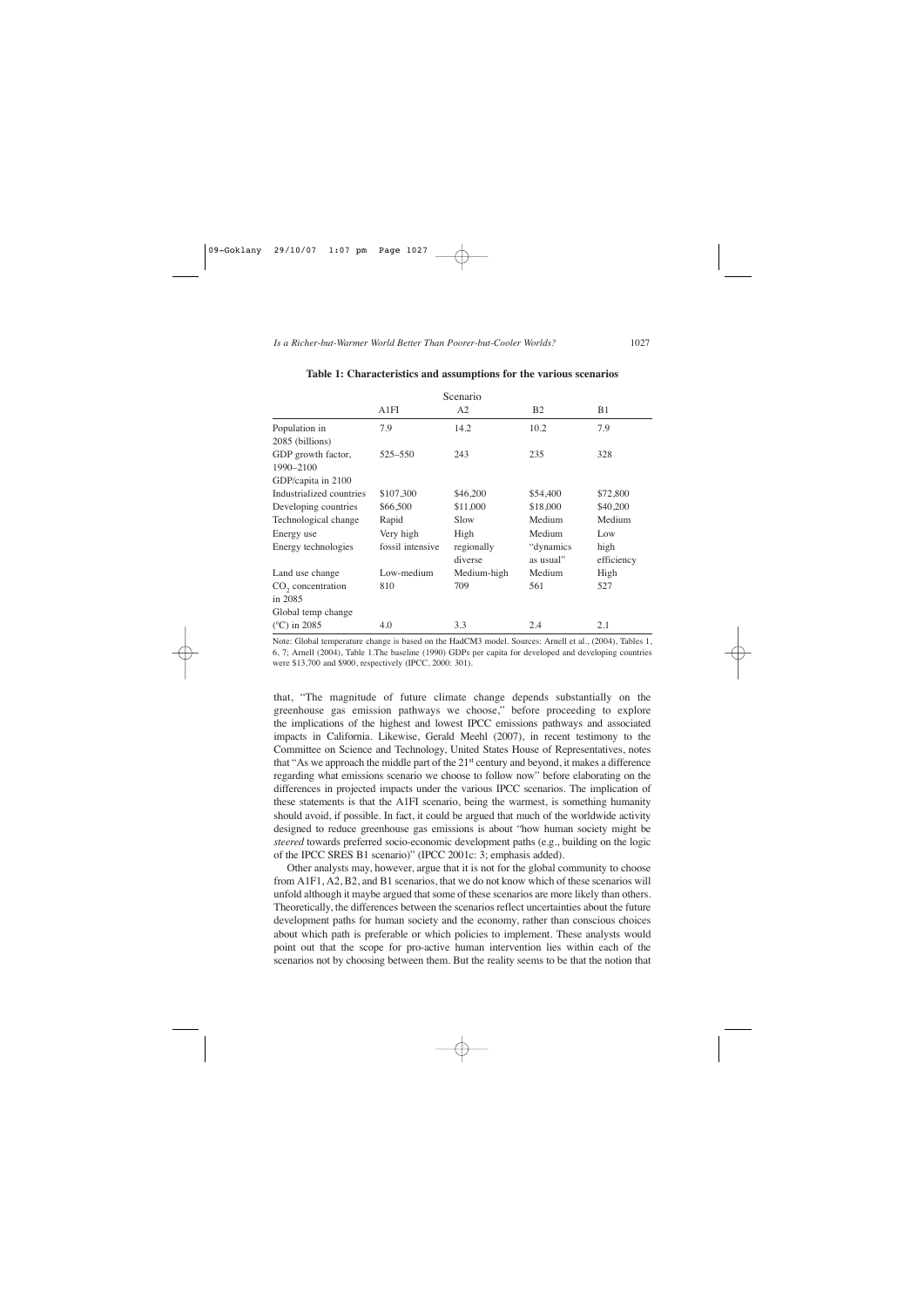| Scenario                                              |                  |                       |                         |                    |  |  |
|-------------------------------------------------------|------------------|-----------------------|-------------------------|--------------------|--|--|
|                                                       | A1FI             | A2                    | B <sub>2</sub>          | B <sub>1</sub>     |  |  |
| Population in<br>2085 (billions)                      | 7.9              | 14.2                  | 10.2                    | 7.9                |  |  |
| GDP growth factor,<br>1990-2100<br>GDP/capita in 2100 | 525–550          | 243                   | 235                     | 328                |  |  |
| Industrialized countries                              | \$107,300        | \$46,200              | \$54,400                | \$72,800           |  |  |
| Developing countries                                  | \$66,500         | \$11,000              | \$18,000                | \$40,200           |  |  |
| Technological change                                  | Rapid            | Slow                  | Medium                  | Medium             |  |  |
| Energy use                                            | Very high        | High                  | Medium                  | Low                |  |  |
| Energy technologies                                   | fossil intensive | regionally<br>diverse | "dynamics"<br>as usual" | high<br>efficiency |  |  |
| Land use change                                       | Low-medium       | Medium-high           | Medium                  | High               |  |  |
| $CO2$ concentration<br>in 2085<br>Global temp change  | 810              | 709                   | 561                     | 527                |  |  |
| $(^{\circ}C)$ in 2085                                 | 4.0              | 3.3                   | 2.4                     | 2.1                |  |  |

#### **Table 1: Characteristics and assumptions for the various scenarios**

Note: Global temperature change is based on the HadCM3 model. Sources: Arnell et al., (2004), Tables 1, 6, 7; Arnell (2004), Table 1.The baseline (1990) GDPs per capita for developed and developing countries were \$13,700 and \$900, respectively (IPCC, 2000: 301).

that, "The magnitude of future climate change depends substantially on the greenhouse gas emission pathways we choose," before proceeding to explore the implications of the highest and lowest IPCC emissions pathways and associated impacts in California. Likewise, Gerald Meehl (2007), in recent testimony to the Committee on Science and Technology, United States House of Representatives, notes that "As we approach the middle part of the 21st century and beyond, it makes a difference regarding what emissions scenario we choose to follow now" before elaborating on the differences in projected impacts under the various IPCC scenarios. The implication of these statements is that the A1FI scenario, being the warmest, is something humanity should avoid, if possible. In fact, it could be argued that much of the worldwide activity designed to reduce greenhouse gas emissions is about "how human society might be *steered* towards preferred socio-economic development paths (e.g., building on the logic of the IPCC SRES B1 scenario)" (IPCC 2001c: 3; emphasis added).

Other analysts may, however, argue that it is not for the global community to choose from A1F1, A2, B2, and B1 scenarios, that we do not know which of these scenarios will unfold although it maybe argued that some of these scenarios are more likely than others. Theoretically, the differences between the scenarios reflect uncertainties about the future development paths for human society and the economy, rather than conscious choices about which path is preferable or which policies to implement. These analysts would point out that the scope for pro-active human intervention lies within each of the scenarios not by choosing between them. But the reality seems to be that the notion that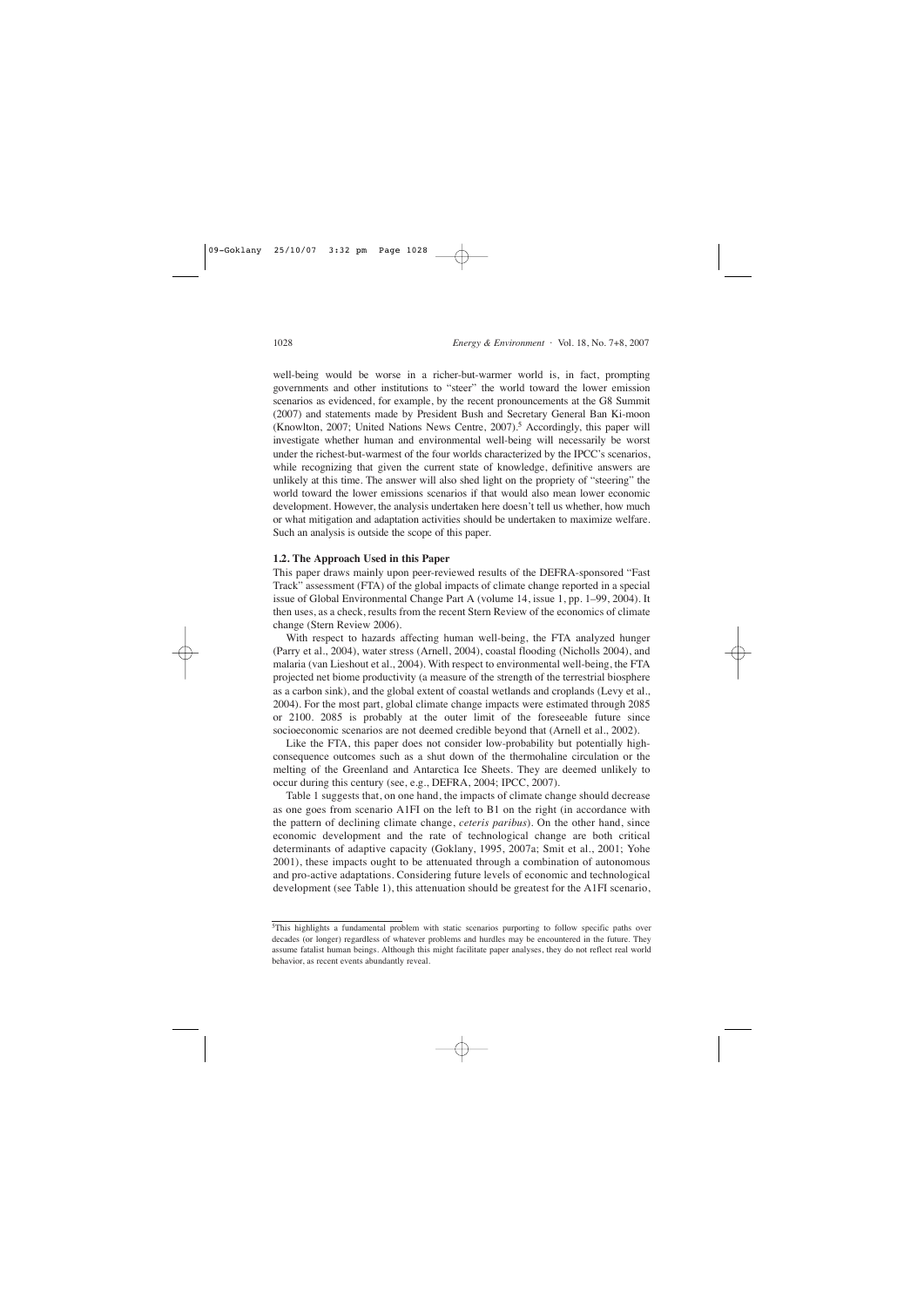well-being would be worse in a richer-but-warmer world is, in fact, prompting governments and other institutions to "steer" the world toward the lower emission scenarios as evidenced, for example, by the recent pronouncements at the G8 Summit (2007) and statements made by President Bush and Secretary General Ban Ki-moon (Knowlton, 2007; United Nations News Centre, 2007).<sup>5</sup> Accordingly, this paper will investigate whether human and environmental well-being will necessarily be worst under the richest-but-warmest of the four worlds characterized by the IPCC's scenarios, while recognizing that given the current state of knowledge, definitive answers are unlikely at this time. The answer will also shed light on the propriety of "steering" the world toward the lower emissions scenarios if that would also mean lower economic development. However, the analysis undertaken here doesn't tell us whether, how much or what mitigation and adaptation activities should be undertaken to maximize welfare. Such an analysis is outside the scope of this paper.

#### **1.2. The Approach Used in this Paper**

This paper draws mainly upon peer-reviewed results of the DEFRA-sponsored "Fast Track" assessment (FTA) of the global impacts of climate change reported in a special issue of Global Environmental Change Part A (volume 14, issue 1, pp. 1–99, 2004). It then uses, as a check, results from the recent Stern Review of the economics of climate change (Stern Review 2006).

With respect to hazards affecting human well-being, the FTA analyzed hunger (Parry et al., 2004), water stress (Arnell, 2004), coastal flooding (Nicholls 2004), and malaria (van Lieshout et al., 2004). With respect to environmental well-being, the FTA projected net biome productivity (a measure of the strength of the terrestrial biosphere as a carbon sink), and the global extent of coastal wetlands and croplands (Levy et al., 2004). For the most part, global climate change impacts were estimated through 2085 or 2100. 2085 is probably at the outer limit of the foreseeable future since socioeconomic scenarios are not deemed credible beyond that (Arnell et al., 2002).

Like the FTA, this paper does not consider low-probability but potentially highconsequence outcomes such as a shut down of the thermohaline circulation or the melting of the Greenland and Antarctica Ice Sheets. They are deemed unlikely to occur during this century (see, e.g., DEFRA, 2004; IPCC, 2007).

Table 1 suggests that, on one hand, the impacts of climate change should decrease as one goes from scenario A1FI on the left to B1 on the right (in accordance with the pattern of declining climate change, *ceteris paribus*). On the other hand, since economic development and the rate of technological change are both critical determinants of adaptive capacity (Goklany, 1995, 2007a; Smit et al., 2001; Yohe 2001), these impacts ought to be attenuated through a combination of autonomous and pro-active adaptations. Considering future levels of economic and technological development (see Table 1), this attenuation should be greatest for the A1FI scenario,

<sup>&</sup>lt;sup>5</sup>This highlights a fundamental problem with static scenarios purporting to follow specific paths over decades (or longer) regardless of whatever problems and hurdles may be encountered in the future. They assume fatalist human beings. Although this might facilitate paper analyses, they do not reflect real world behavior, as recent events abundantly reveal.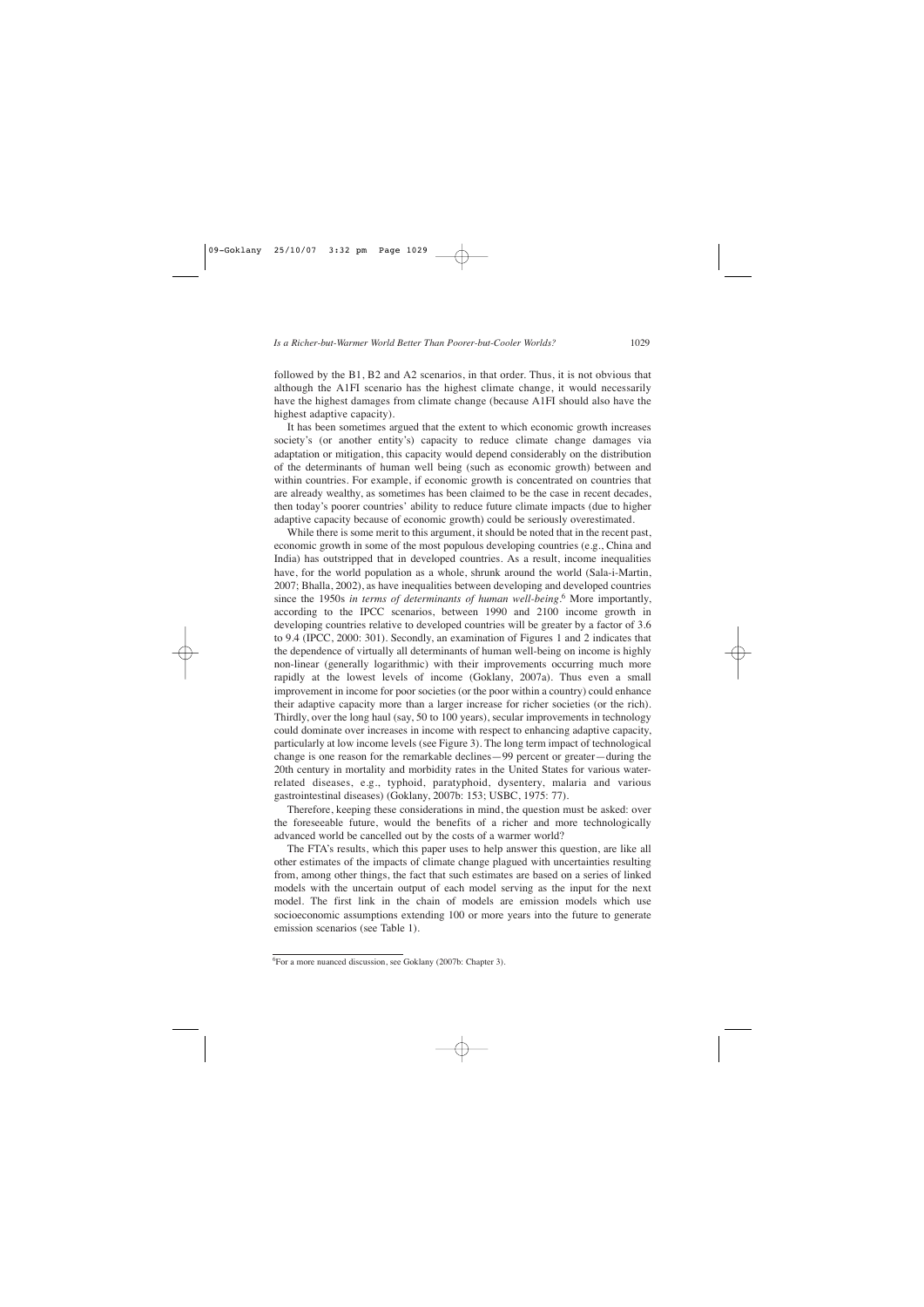followed by the B1, B2 and A2 scenarios, in that order. Thus, it is not obvious that although the A1FI scenario has the highest climate change, it would necessarily have the highest damages from climate change (because A1FI should also have the highest adaptive capacity).

It has been sometimes argued that the extent to which economic growth increases society's (or another entity's) capacity to reduce climate change damages via adaptation or mitigation, this capacity would depend considerably on the distribution of the determinants of human well being (such as economic growth) between and within countries. For example, if economic growth is concentrated on countries that are already wealthy, as sometimes has been claimed to be the case in recent decades, then today's poorer countries' ability to reduce future climate impacts (due to higher adaptive capacity because of economic growth) could be seriously overestimated.

While there is some merit to this argument, it should be noted that in the recent past, economic growth in some of the most populous developing countries (e.g., China and India) has outstripped that in developed countries. As a result, income inequalities have, for the world population as a whole, shrunk around the world (Sala-i-Martin, 2007; Bhalla, 2002), as have inequalities between developing and developed countries since the 1950s *in terms of determinants of human well-being*. <sup>6</sup> More importantly, according to the IPCC scenarios, between 1990 and 2100 income growth in developing countries relative to developed countries will be greater by a factor of 3.6 to 9.4 (IPCC, 2000: 301). Secondly, an examination of Figures 1 and 2 indicates that the dependence of virtually all determinants of human well-being on income is highly non-linear (generally logarithmic) with their improvements occurring much more rapidly at the lowest levels of income (Goklany, 2007a). Thus even a small improvement in income for poor societies (or the poor within a country) could enhance their adaptive capacity more than a larger increase for richer societies (or the rich). Thirdly, over the long haul (say, 50 to 100 years), secular improvements in technology could dominate over increases in income with respect to enhancing adaptive capacity, particularly at low income levels (see Figure 3). The long term impact of technological change is one reason for the remarkable declines—99 percent or greater—during the 20th century in mortality and morbidity rates in the United States for various waterrelated diseases, e.g., typhoid, paratyphoid, dysentery, malaria and various gastrointestinal diseases) (Goklany, 2007b: 153; USBC, 1975: 77).

Therefore, keeping these considerations in mind, the question must be asked: over the foreseeable future, would the benefits of a richer and more technologically advanced world be cancelled out by the costs of a warmer world?

The FTA's results, which this paper uses to help answer this question, are like all other estimates of the impacts of climate change plagued with uncertainties resulting from, among other things, the fact that such estimates are based on a series of linked models with the uncertain output of each model serving as the input for the next model. The first link in the chain of models are emission models which use socioeconomic assumptions extending 100 or more years into the future to generate emission scenarios (see Table 1).

<sup>6</sup>For a more nuanced discussion, see Goklany (2007b: Chapter 3).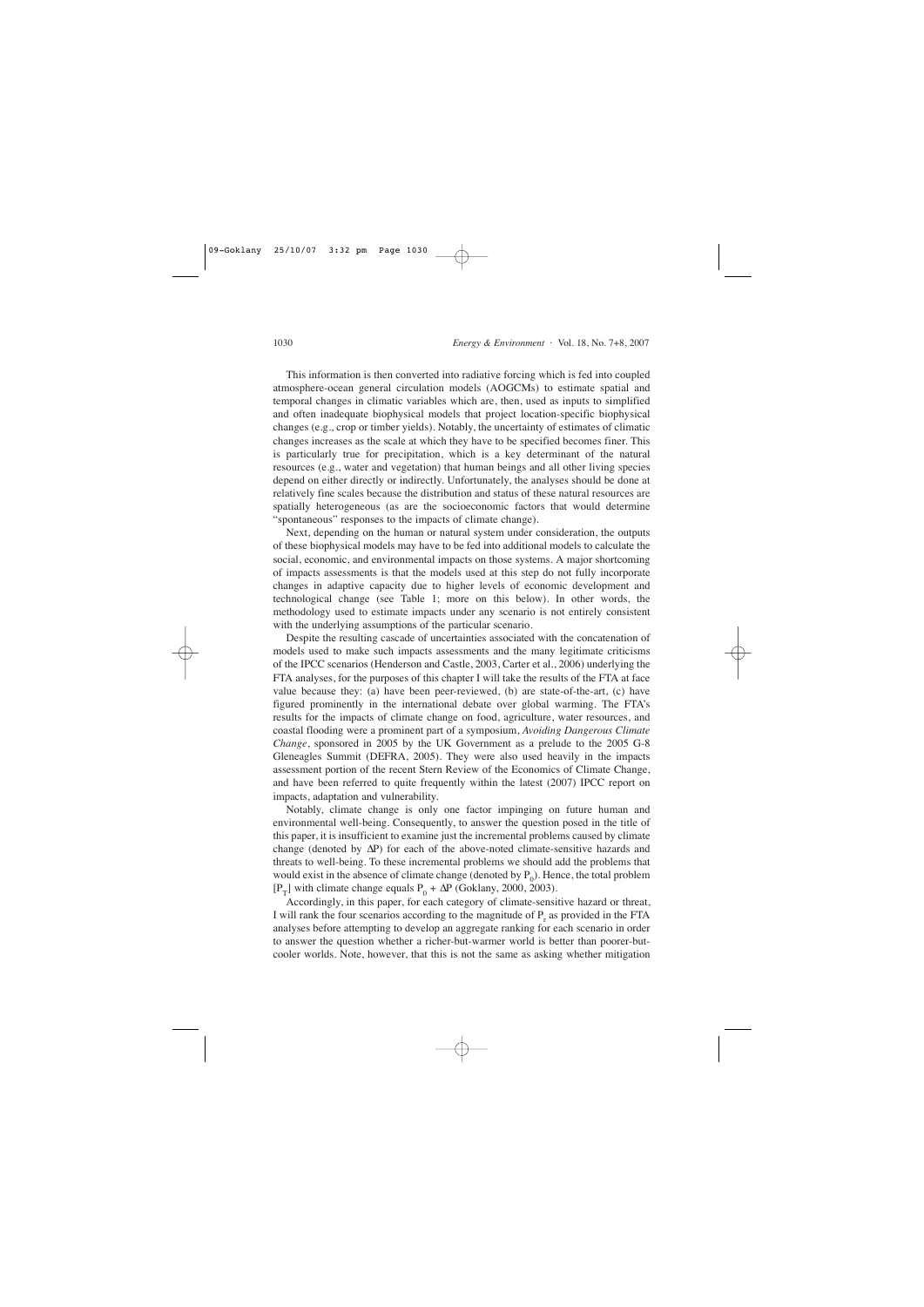This information is then converted into radiative forcing which is fed into coupled atmosphere-ocean general circulation models (AOGCMs) to estimate spatial and temporal changes in climatic variables which are, then, used as inputs to simplified and often inadequate biophysical models that project location-specific biophysical changes (e.g., crop or timber yields). Notably, the uncertainty of estimates of climatic changes increases as the scale at which they have to be specified becomes finer. This is particularly true for precipitation, which is a key determinant of the natural resources (e.g., water and vegetation) that human beings and all other living species depend on either directly or indirectly. Unfortunately, the analyses should be done at relatively fine scales because the distribution and status of these natural resources are spatially heterogeneous (as are the socioeconomic factors that would determine "spontaneous" responses to the impacts of climate change).

Next, depending on the human or natural system under consideration, the outputs of these biophysical models may have to be fed into additional models to calculate the social, economic, and environmental impacts on those systems. A major shortcoming of impacts assessments is that the models used at this step do not fully incorporate changes in adaptive capacity due to higher levels of economic development and technological change (see Table 1; more on this below). In other words, the methodology used to estimate impacts under any scenario is not entirely consistent with the underlying assumptions of the particular scenario.

Despite the resulting cascade of uncertainties associated with the concatenation of models used to make such impacts assessments and the many legitimate criticisms of the IPCC scenarios (Henderson and Castle, 2003, Carter et al., 2006) underlying the FTA analyses, for the purposes of this chapter I will take the results of the FTA at face value because they: (a) have been peer-reviewed, (b) are state-of-the-art, (c) have figured prominently in the international debate over global warming. The FTA's results for the impacts of climate change on food, agriculture, water resources, and coastal flooding were a prominent part of a symposium, *Avoiding Dangerous Climate Change*, sponsored in 2005 by the UK Government as a prelude to the 2005 G-8 Gleneagles Summit (DEFRA, 2005). They were also used heavily in the impacts assessment portion of the recent Stern Review of the Economics of Climate Change, and have been referred to quite frequently within the latest (2007) IPCC report on impacts, adaptation and vulnerability.

Notably, climate change is only one factor impinging on future human and environmental well-being. Consequently, to answer the question posed in the title of this paper, it is insufficient to examine just the incremental problems caused by climate change (denoted by ∆P) for each of the above-noted climate-sensitive hazards and threats to well-being. To these incremental problems we should add the problems that would exist in the absence of climate change (denoted by  $P_0$ ). Hence, the total problem [P<sub>T</sub>] with climate change equals P<sub>0</sub> +  $\Delta P$  (Goklany, 2000, 2003).

Accordingly, in this paper, for each category of climate-sensitive hazard or threat, I will rank the four scenarios according to the magnitude of  $P_r$  as provided in the FTA analyses before attempting to develop an aggregate ranking for each scenario in order to answer the question whether a richer-but-warmer world is better than poorer-butcooler worlds. Note, however, that this is not the same as asking whether mitigation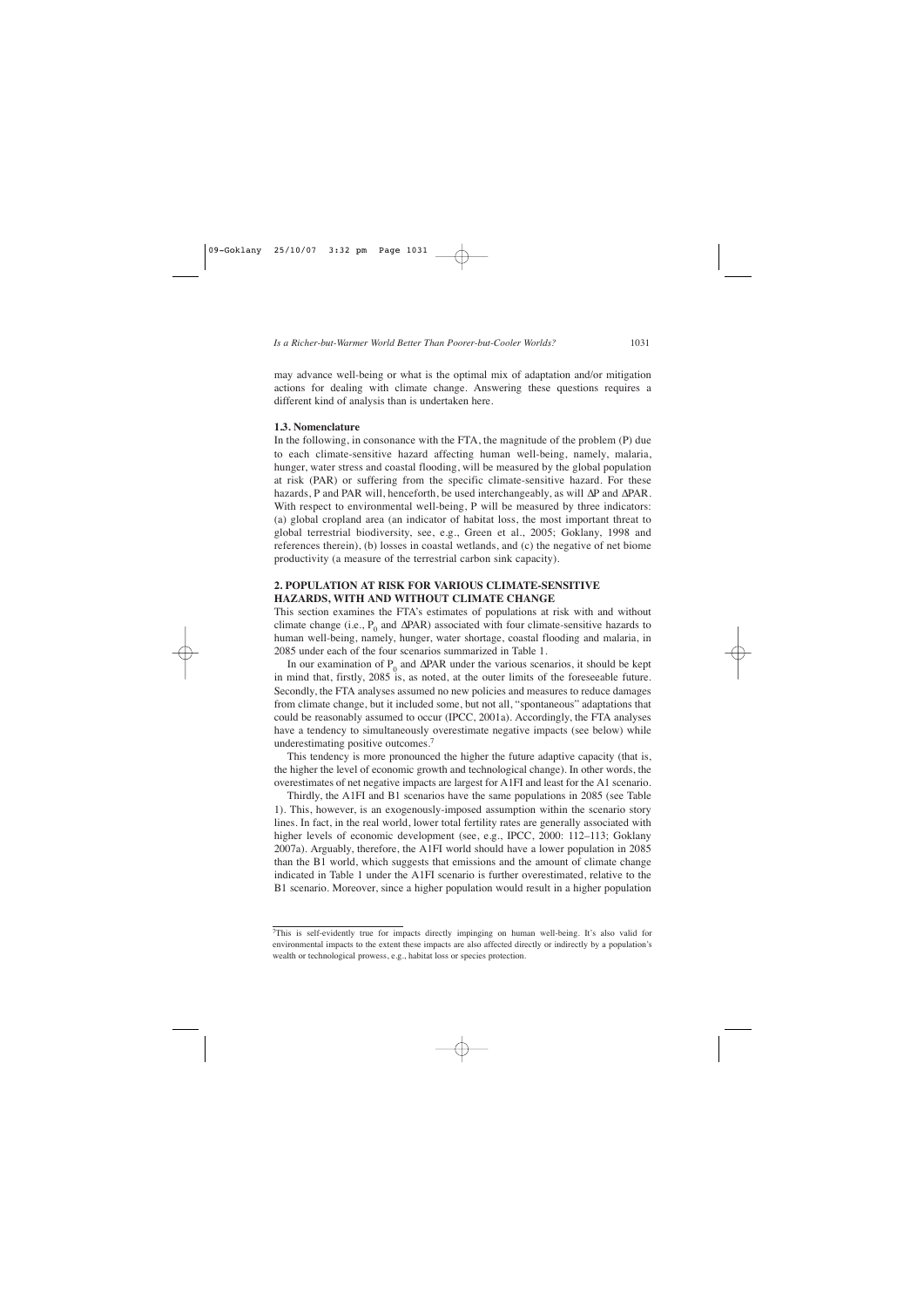may advance well-being or what is the optimal mix of adaptation and/or mitigation actions for dealing with climate change. Answering these questions requires a different kind of analysis than is undertaken here.

#### **1.3. Nomenclature**

In the following, in consonance with the FTA, the magnitude of the problem (P) due to each climate-sensitive hazard affecting human well-being, namely, malaria, hunger, water stress and coastal flooding, will be measured by the global population at risk (PAR) or suffering from the specific climate-sensitive hazard. For these hazards, P and PAR will, henceforth, be used interchangeably, as will ∆P and ∆PAR. With respect to environmental well-being, P will be measured by three indicators: (a) global cropland area (an indicator of habitat loss, the most important threat to global terrestrial biodiversity, see, e.g., Green et al., 2005; Goklany, 1998 and references therein), (b) losses in coastal wetlands, and (c) the negative of net biome productivity (a measure of the terrestrial carbon sink capacity).

## **2. POPULATION AT RISK FOR VARIOUS CLIMATE-SENSITIVE HAZARDS, WITH AND WITHOUT CLIMATE CHANGE**

This section examines the FTA's estimates of populations at risk with and without climate change (i.e., P<sub>0</sub> and  $\Delta$ PAR) associated with four climate-sensitive hazards to human well-being, namely, hunger, water shortage, coastal flooding and malaria, in 2085 under each of the four scenarios summarized in Table 1.

In our examination of P<sub>0</sub> and  $\Delta$ PAR under the various scenarios, it should be kept in mind that, firstly, 2085 is, as noted, at the outer limits of the foreseeable future. Secondly, the FTA analyses assumed no new policies and measures to reduce damages from climate change, but it included some, but not all, "spontaneous" adaptations that could be reasonably assumed to occur (IPCC, 2001a). Accordingly, the FTA analyses have a tendency to simultaneously overestimate negative impacts (see below) while underestimating positive outcomes.7

This tendency is more pronounced the higher the future adaptive capacity (that is, the higher the level of economic growth and technological change). In other words, the overestimates of net negative impacts are largest for A1FI and least for the A1 scenario.

Thirdly, the A1FI and B1 scenarios have the same populations in 2085 (see Table 1). This, however, is an exogenously-imposed assumption within the scenario story lines. In fact, in the real world, lower total fertility rates are generally associated with higher levels of economic development (see, e.g., IPCC, 2000: 112–113; Goklany 2007a). Arguably, therefore, the A1FI world should have a lower population in 2085 than the B1 world, which suggests that emissions and the amount of climate change indicated in Table 1 under the A1FI scenario is further overestimated, relative to the B1 scenario. Moreover, since a higher population would result in a higher population

<sup>7</sup>This is self-evidently true for impacts directly impinging on human well-being. It's also valid for environmental impacts to the extent these impacts are also affected directly or indirectly by a population's wealth or technological prowess, e.g., habitat loss or species protection.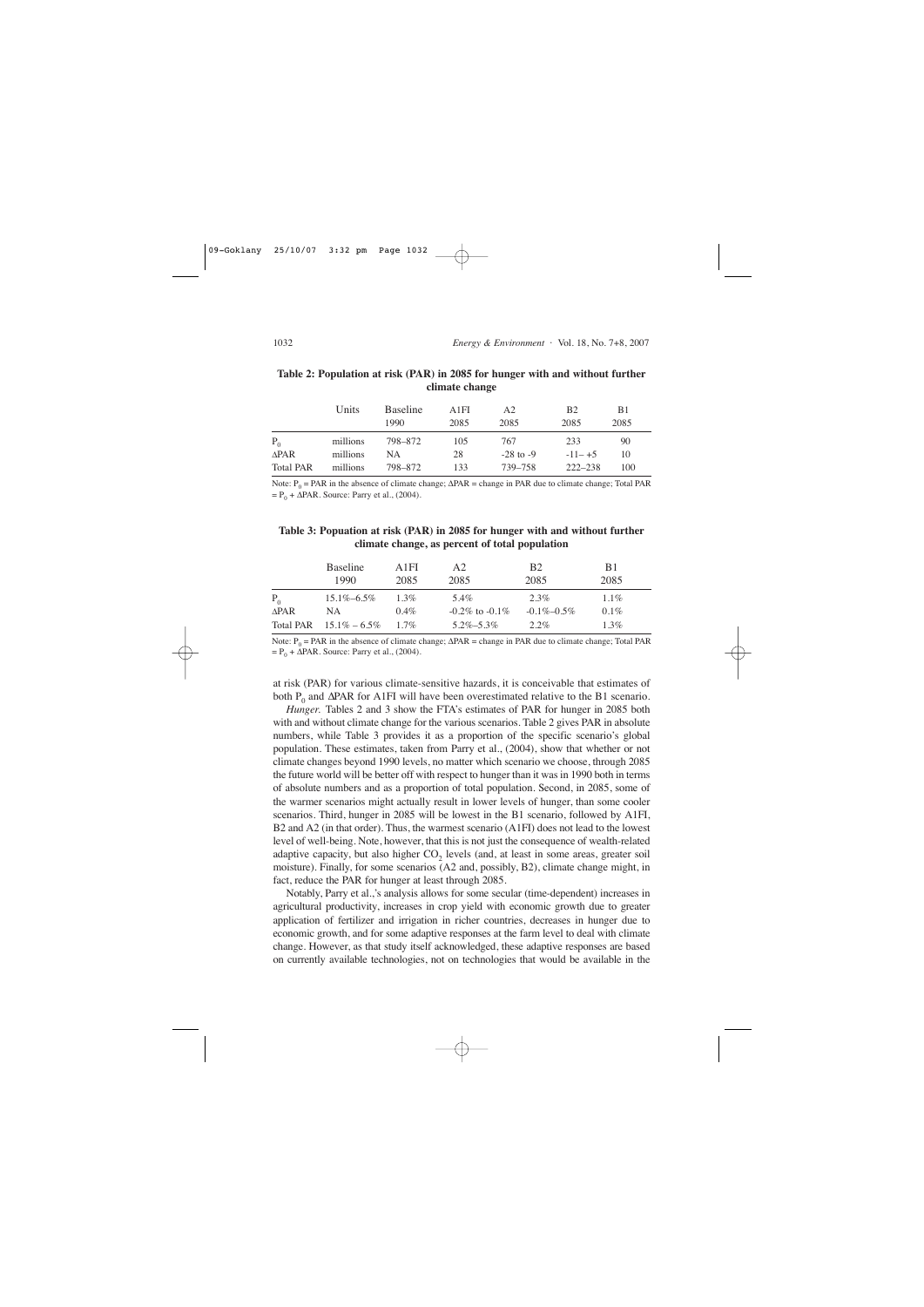|                  | Units    | <b>Baseline</b><br>1990 | A1FI<br>2085 | A <sub>2</sub><br>2085 | B <sub>2</sub><br>2085 | B1<br>2085 |
|------------------|----------|-------------------------|--------------|------------------------|------------------------|------------|
| $P_0$            | millions | 798–872                 | 105          | 767                    | 233                    | 90         |
| $\triangle$ PAR  | millions | NА                      | 28           | $-28$ to $-9$          | $-11-+5$               | 10         |
| <b>Total PAR</b> | millions | 798–872                 | 133          | 739-758                | $222 - 238$            | 100        |

### **Table 2: Population at risk (PAR) in 2085 for hunger with and without further climate change**

Note:  $P_0$  = PAR in the absence of climate change;  $\triangle PAR$  = change in PAR due to climate change; Total PAR  $= P_0 + \Delta PAR$ . Source: Parry et al., (2004).

#### **Table 3: Popuation at risk (PAR) in 2085 for hunger with and without further climate change, as percent of total population**

|             | <b>Baseline</b>            | A <sub>1</sub> FI | A <sub>2</sub>       | <b>B</b> <sub>2</sub> | B1      |  |
|-------------|----------------------------|-------------------|----------------------|-----------------------|---------|--|
|             | 1990                       | 2085              | 2085                 | 2085                  | 2085    |  |
| $P_{0}$     | $15.1\% - 6.5\%$           | $1.3\%$           | 5.4%                 | $2.3\%$               | $1.1\%$ |  |
| <b>APAR</b> | NА                         | $0.4\%$           | $-0.2\%$ to $-0.1\%$ | $-0.1\% - 0.5\%$      | $0.1\%$ |  |
|             | Total PAR $15.1\% - 6.5\%$ | $1.7\%$           | $5.2\% - 5.3\%$      | $2.2\%$               | $1.3\%$ |  |

Note:  $P_0$  = PAR in the absence of climate change;  $\Delta PAR$  = change in PAR due to climate change; Total PAR  $= P_0 + \Delta PAR$ . Source: Parry et al., (2004).

at risk (PAR) for various climate-sensitive hazards, it is conceivable that estimates of both P<sub>0</sub> and  $ΔPAR$  for A1FI will have been overestimated relative to the B1 scenario.

*Hunger.* Tables 2 and 3 show the FTA's estimates of PAR for hunger in 2085 both with and without climate change for the various scenarios. Table 2 gives PAR in absolute numbers, while Table 3 provides it as a proportion of the specific scenario's global population. These estimates, taken from Parry et al., (2004), show that whether or not climate changes beyond 1990 levels, no matter which scenario we choose, through 2085 the future world will be better off with respect to hunger than it was in 1990 both in terms of absolute numbers and as a proportion of total population. Second, in 2085, some of the warmer scenarios might actually result in lower levels of hunger, than some cooler scenarios. Third, hunger in 2085 will be lowest in the B1 scenario, followed by A1FI, B2 and A2 (in that order). Thus, the warmest scenario (A1FI) does not lead to the lowest level of well-being. Note, however, that this is not just the consequence of wealth-related adaptive capacity, but also higher  $CO<sub>2</sub>$  levels (and, at least in some areas, greater soil moisture). Finally, for some scenarios (A2 and, possibly, B2), climate change might, in fact, reduce the PAR for hunger at least through 2085.

Notably, Parry et al.,'s analysis allows for some secular (time-dependent) increases in agricultural productivity, increases in crop yield with economic growth due to greater application of fertilizer and irrigation in richer countries, decreases in hunger due to economic growth, and for some adaptive responses at the farm level to deal with climate change. However, as that study itself acknowledged, these adaptive responses are based on currently available technologies, not on technologies that would be available in the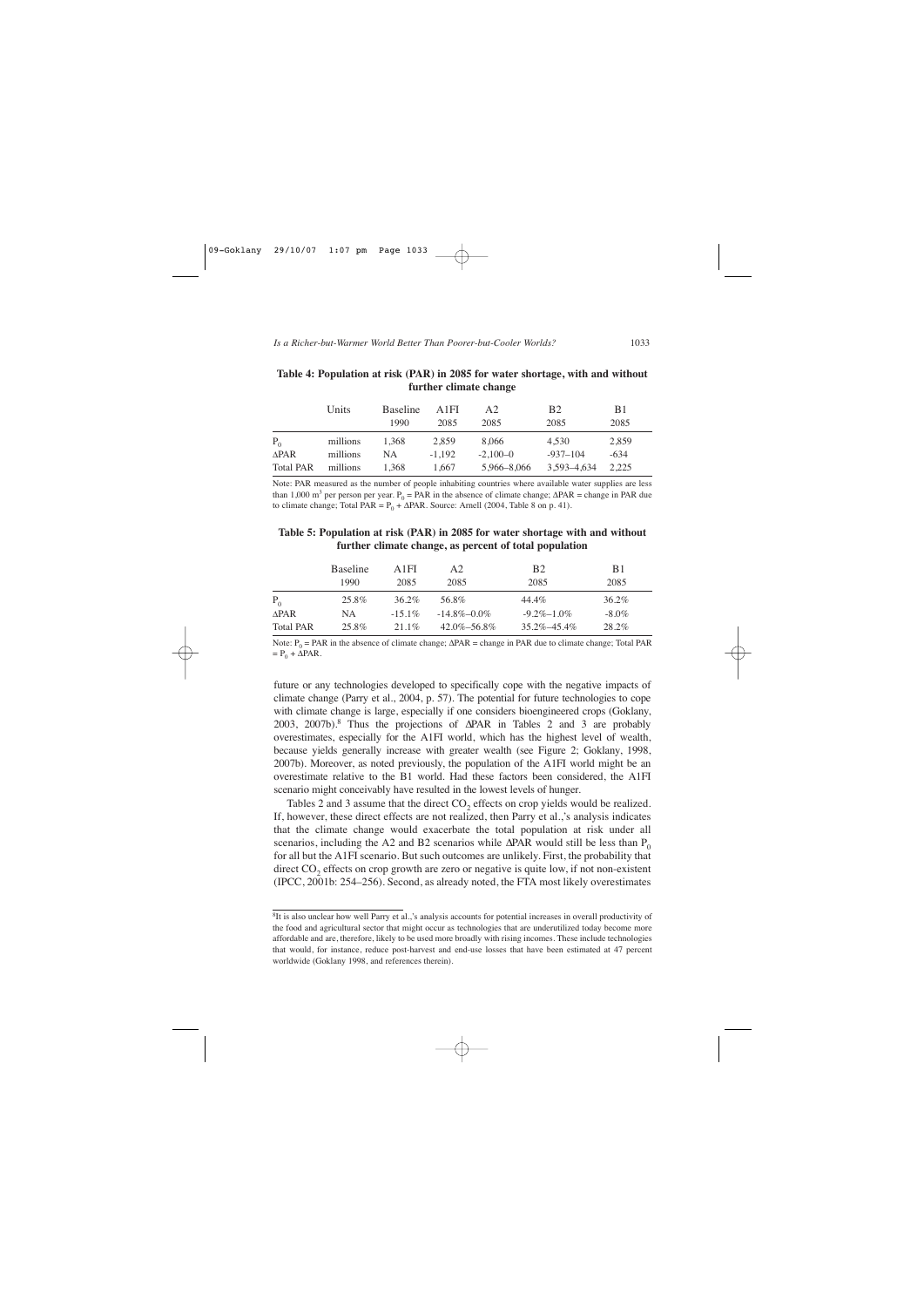|                  | Units    | <b>Baseline</b><br>1990 | A <sub>1</sub> FI<br>2085 | A2<br>2085   | B <sub>2</sub><br>2085 | B1<br>2085 |  |
|------------------|----------|-------------------------|---------------------------|--------------|------------------------|------------|--|
| $P_{0}$          | millions | 1.368                   | 2.859                     | 8.066        | 4.530                  | 2,859      |  |
| $\triangle$ PAR  | millions | NA.                     | $-1.192$                  | $-2.100 - 0$ | $-937 - 104$           | $-634$     |  |
| <b>Total PAR</b> | millions | 1.368                   | 1.667                     | 5,966-8,066  | 3,593-4,634            | 2.225      |  |

### **Table 4: Population at risk (PAR) in 2085 for water shortage, with and without further climate change**

Note: PAR measured as the number of people inhabiting countries where available water supplies are less than 1,000 m<sup>3</sup> per person per year. P<sub>0</sub> = PAR in the absence of climate change;  $\Delta$ PAR = change in PAR due to climate change; Total PAR =  $P_0 + \Delta PAR$ . Source: Arnell (2004, Table 8 on p. 41).

### **Table 5: Population at risk (PAR) in 2085 for water shortage with and without further climate change, as percent of total population**

|                  | <b>Baseline</b> | A 1 FI    | A2                | <b>B2</b>         | B1       |  |
|------------------|-----------------|-----------|-------------------|-------------------|----------|--|
|                  | 1990            | 2085      | 2085              | 2085              | 2085     |  |
| $P_0$            | 25.8%           | 36.2%     | 56.8%             | 44.4%             | 36.2%    |  |
| <b>APAR</b>      | NA              | $-15.1\%$ | $-14.8\% - 0.0\%$ | $-9.2\% - 1.0\%$  | $-8.0\%$ |  |
| <b>Total PAR</b> | 25.8%           | $21.1\%$  | $42.0\% - 56.8\%$ | $35.2\% - 45.4\%$ | 28.2%    |  |

Note:  $P_0$  = PAR in the absence of climate change;  $\triangle PAR$  = change in PAR due to climate change; Total PAR  $= P_0 + \Delta PAR$ .

future or any technologies developed to specifically cope with the negative impacts of climate change (Parry et al., 2004, p. 57). The potential for future technologies to cope with climate change is large, especially if one considers bioengineered crops (Goklany, 2003, 2007b).<sup>8</sup> Thus the projections of ∆PAR in Tables 2 and 3 are probably overestimates, especially for the A1FI world, which has the highest level of wealth, because yields generally increase with greater wealth (see Figure 2; Goklany, 1998, 2007b). Moreover, as noted previously, the population of the A1FI world might be an overestimate relative to the B1 world. Had these factors been considered, the A1FI scenario might conceivably have resulted in the lowest levels of hunger.

Tables 2 and 3 assume that the direct  $CO<sub>2</sub>$  effects on crop yields would be realized. If, however, these direct effects are not realized, then Parry et al.,'s analysis indicates that the climate change would exacerbate the total population at risk under all scenarios, including the A2 and B2 scenarios while  $\Delta$ PAR would still be less than P<sub>0</sub> for all but the A1FI scenario. But such outcomes are unlikely. First, the probability that direct  $CO<sub>2</sub>$  effects on crop growth are zero or negative is quite low, if not non-existent (IPCC, 2001b: 254–256). Second, as already noted, the FTA most likely overestimates

<sup>&</sup>lt;sup>8</sup>It is also unclear how well Parry et al.,'s analysis accounts for potential increases in overall productivity of the food and agricultural sector that might occur as technologies that are underutilized today become more affordable and are, therefore, likely to be used more broadly with rising incomes. These include technologies that would, for instance, reduce post-harvest and end-use losses that have been estimated at 47 percent worldwide (Goklany 1998, and references therein).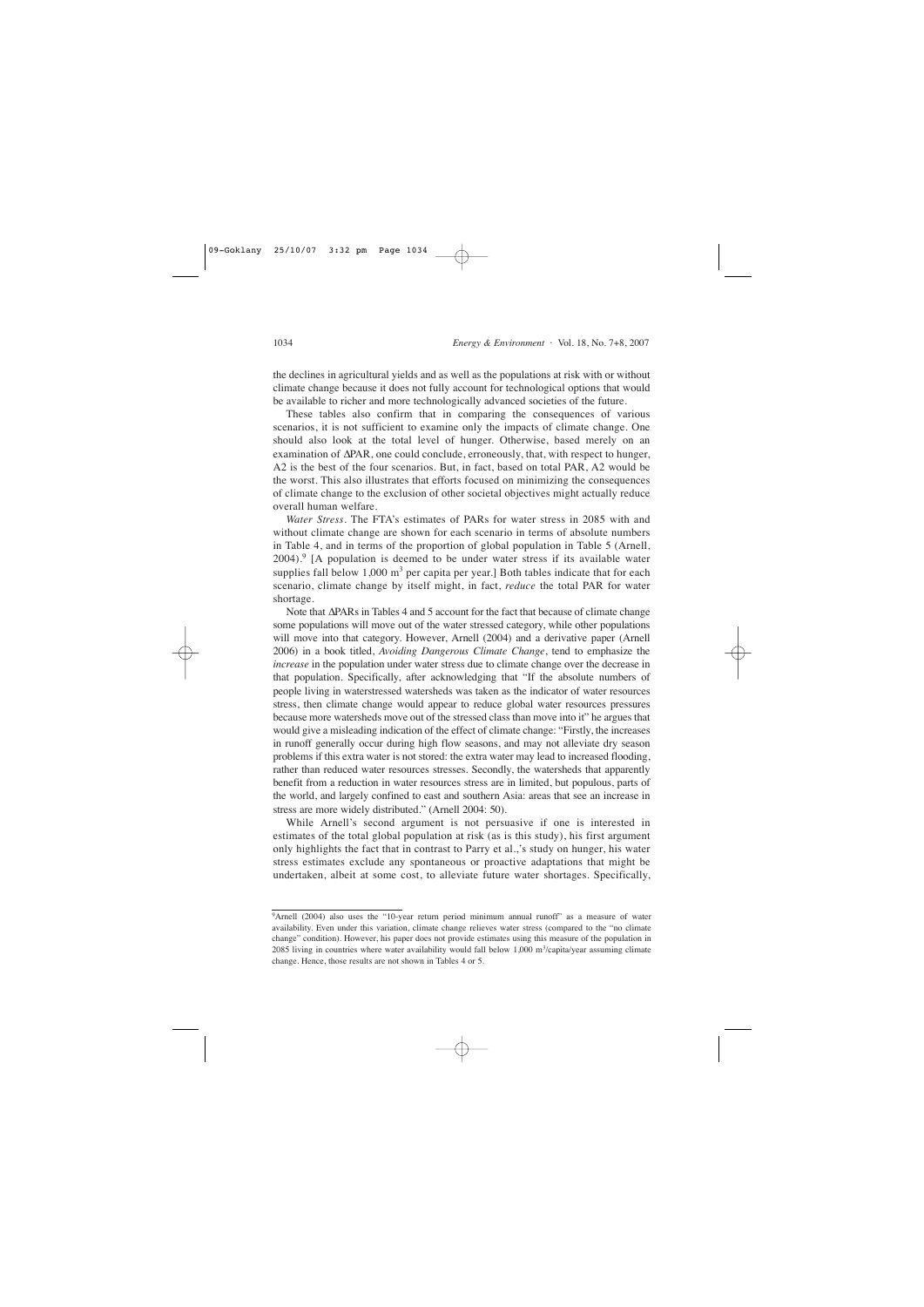the declines in agricultural yields and as well as the populations at risk with or without climate change because it does not fully account for technological options that would be available to richer and more technologically advanced societies of the future.

These tables also confirm that in comparing the consequences of various scenarios, it is not sufficient to examine only the impacts of climate change. One should also look at the total level of hunger. Otherwise, based merely on an examination of ∆PAR, one could conclude, erroneously, that, with respect to hunger, A2 is the best of the four scenarios. But, in fact, based on total PAR, A2 would be the worst. This also illustrates that efforts focused on minimizing the consequences of climate change to the exclusion of other societal objectives might actually reduce overall human welfare.

*Water Stress*. The FTA's estimates of PARs for water stress in 2085 with and without climate change are shown for each scenario in terms of absolute numbers in Table 4, and in terms of the proportion of global population in Table 5 (Arnell,  $2004$ .<sup>9</sup> [A population is deemed to be under water stress if its available water supplies fall below  $1,000 \text{ m}^3$  per capita per year.] Both tables indicate that for each scenario, climate change by itself might, in fact, *reduce* the total PAR for water shortage.

Note that ∆PARs in Tables 4 and 5 account for the fact that because of climate change some populations will move out of the water stressed category, while other populations will move into that category. However, Arnell (2004) and a derivative paper (Arnell 2006) in a book titled, *Avoiding Dangerous Climate Change*, tend to emphasize the *increase* in the population under water stress due to climate change over the decrease in that population. Specifically, after acknowledging that "If the absolute numbers of people living in waterstressed watersheds was taken as the indicator of water resources stress, then climate change would appear to reduce global water resources pressures because more watersheds move out of the stressed class than move into it" he argues that would give a misleading indication of the effect of climate change: "Firstly, the increases in runoff generally occur during high flow seasons, and may not alleviate dry season problems if this extra water is not stored: the extra water may lead to increased flooding, rather than reduced water resources stresses. Secondly, the watersheds that apparently benefit from a reduction in water resources stress are in limited, but populous, parts of the world, and largely confined to east and southern Asia: areas that see an increase in stress are more widely distributed." (Arnell 2004: 50).

While Arnell's second argument is not persuasive if one is interested in estimates of the total global population at risk (as is this study), his first argument only highlights the fact that in contrast to Parry et al.,'s study on hunger, his water stress estimates exclude any spontaneous or proactive adaptations that might be undertaken, albeit at some cost, to alleviate future water shortages. Specifically,

<sup>&</sup>lt;sup>9</sup>Arnell (2004) also uses the "10-year return period minimum annual runoff" as a measure of water availability. Even under this variation, climate change relieves water stress (compared to the "no climate change" condition). However, his paper does not provide estimates using this measure of the population in 2085 living in countries where water availability would fall below 1,000 m<sup>3</sup>/capita/year assuming climate change. Hence, those results are not shown in Tables 4 or 5.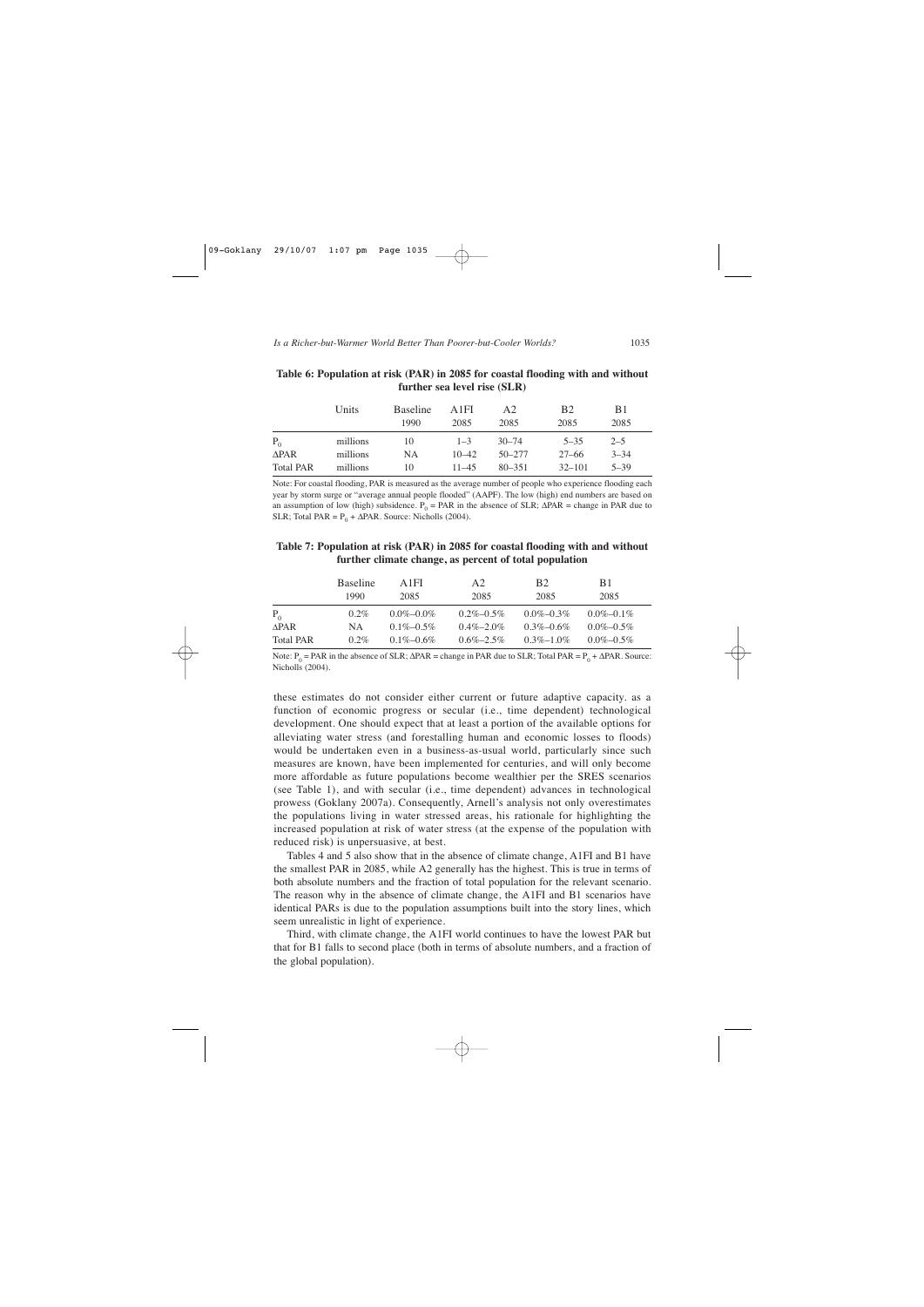|                  | Units    | <b>Baseline</b><br>1990 | A1FI<br>2085 | A2<br>2085 | <b>B2</b><br>2085 | <b>B</b> 1<br>2085 |  |
|------------------|----------|-------------------------|--------------|------------|-------------------|--------------------|--|
| $P_{0}$          | millions | 10                      | $1 - 3$      | $30 - 74$  | $5 - 35$          | $2 - 5$            |  |
| $\Delta$ PAR     | millions | <b>NA</b>               | $10 - 42$    | $50 - 277$ | 27–66             | $3 - 34$           |  |
| <b>Total PAR</b> | millions | 10                      | $11 - 45$    | $80 - 351$ | $32 - 101$        | $5 - 39$           |  |

**Table 6: Population at risk (PAR) in 2085 for coastal flooding with and without further sea level rise (SLR)**

Note: For coastal flooding, PAR is measured as the average number of people who experience flooding each year by storm surge or "average annual people flooded" (AAPF). The low (high) end numbers are based on an assumption of low (high) subsidence.  $P_0 = PAR$  in the absence of SLR;  $\triangle PAR =$  change in PAR due to SLR; Total PAR =  $P_0 + \Delta PAR$ . Source: Nicholls (2004).

#### **Table 7: Population at risk (PAR) in 2085 for coastal flooding with and without further climate change, as percent of total population**

|                  | <b>Baseline</b> | A 1 F I         | A <sub>2</sub>  | <b>B2</b>       | B1              |  |
|------------------|-----------------|-----------------|-----------------|-----------------|-----------------|--|
|                  | 1990            | 2085            | 2085            | 2085            | 2085            |  |
| $P_{0}$          | $0.2\%$         | $0.0\% - 0.0\%$ | $0.2\% - 0.5\%$ | $0.0\% - 0.3\%$ | $0.0\% - 0.1\%$ |  |
| <b>APAR</b>      | NA.             | $0.1\% - 0.5\%$ | $0.4\% - 2.0\%$ | $0.3\% - 0.6\%$ | $0.0\% - 0.5\%$ |  |
| <b>Total PAR</b> | $0.2\%$         | $0.1\% - 0.6\%$ | $0.6\% - 2.5\%$ | $0.3\% - 1.0\%$ | $0.0\% - 0.5\%$ |  |

Note:  $P_0$  = PAR in the absence of SLR;  $\triangle$ PAR = change in PAR due to SLR; Total PAR =  $P_0 + \triangle$ PAR. Source: Nicholls (2004).

these estimates do not consider either current or future adaptive capacity. as a function of economic progress or secular (i.e., time dependent) technological development. One should expect that at least a portion of the available options for alleviating water stress (and forestalling human and economic losses to floods) would be undertaken even in a business-as-usual world, particularly since such measures are known, have been implemented for centuries, and will only become more affordable as future populations become wealthier per the SRES scenarios (see Table 1), and with secular (i.e., time dependent) advances in technological prowess (Goklany 2007a). Consequently, Arnell's analysis not only overestimates the populations living in water stressed areas, his rationale for highlighting the increased population at risk of water stress (at the expense of the population with reduced risk) is unpersuasive, at best.

Tables 4 and 5 also show that in the absence of climate change, A1FI and B1 have the smallest PAR in 2085, while A2 generally has the highest. This is true in terms of both absolute numbers and the fraction of total population for the relevant scenario. The reason why in the absence of climate change, the A1FI and B1 scenarios have identical PARs is due to the population assumptions built into the story lines, which seem unrealistic in light of experience.

Third, with climate change, the A1FI world continues to have the lowest PAR but that for B1 falls to second place (both in terms of absolute numbers, and a fraction of the global population).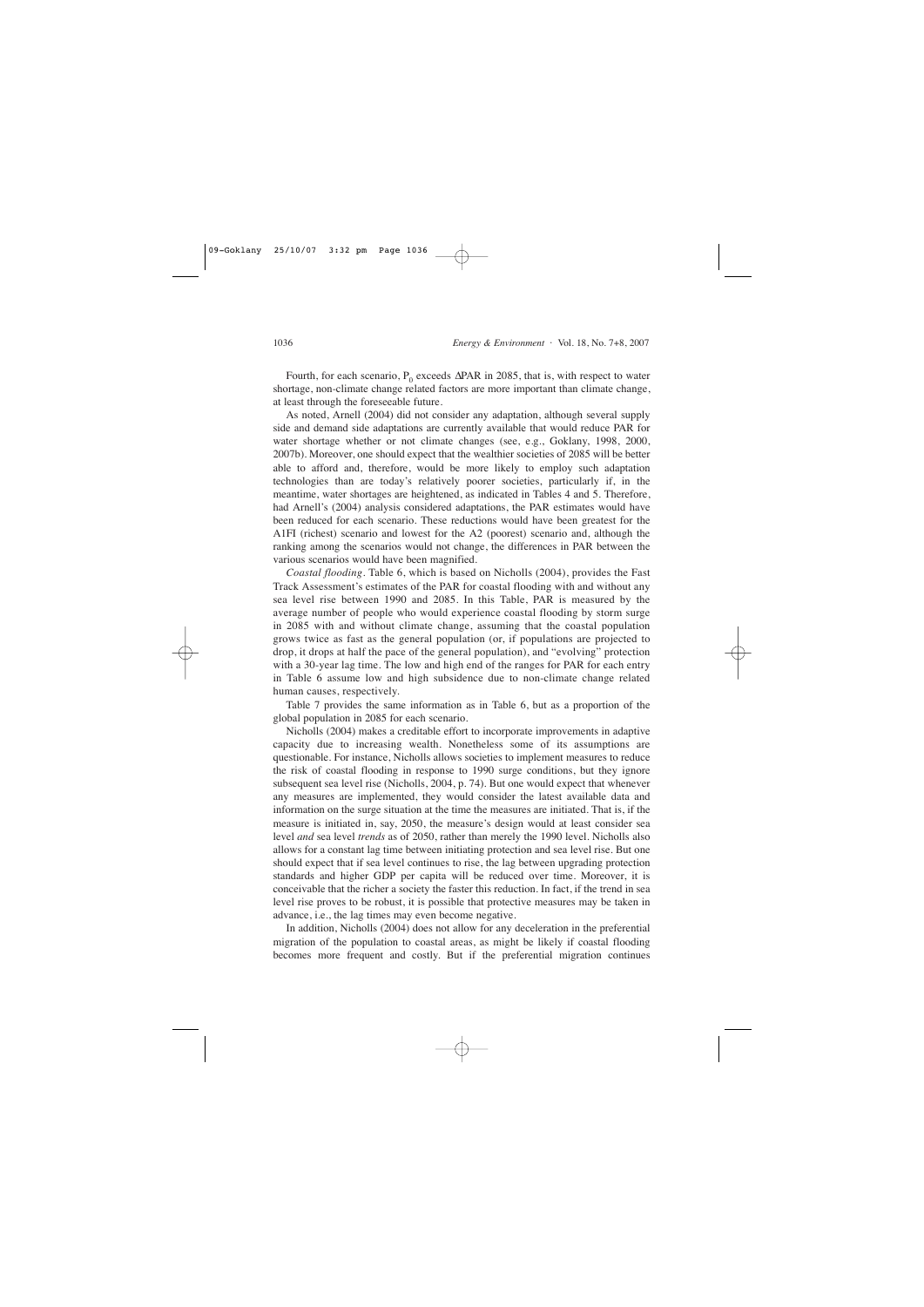Fourth, for each scenario, P<sub>0</sub> exceeds  $\Delta PAR$  in 2085, that is, with respect to water shortage, non-climate change related factors are more important than climate change, at least through the foreseeable future.

As noted, Arnell (2004) did not consider any adaptation, although several supply side and demand side adaptations are currently available that would reduce PAR for water shortage whether or not climate changes (see, e.g., Goklany, 1998, 2000, 2007b). Moreover, one should expect that the wealthier societies of 2085 will be better able to afford and, therefore, would be more likely to employ such adaptation technologies than are today's relatively poorer societies, particularly if, in the meantime, water shortages are heightened, as indicated in Tables 4 and 5. Therefore, had Arnell's (2004) analysis considered adaptations, the PAR estimates would have been reduced for each scenario. These reductions would have been greatest for the A1FI (richest) scenario and lowest for the A2 (poorest) scenario and, although the ranking among the scenarios would not change, the differences in PAR between the various scenarios would have been magnified.

*Coastal flooding*. Table 6, which is based on Nicholls (2004), provides the Fast Track Assessment's estimates of the PAR for coastal flooding with and without any sea level rise between 1990 and 2085. In this Table, PAR is measured by the average number of people who would experience coastal flooding by storm surge in 2085 with and without climate change, assuming that the coastal population grows twice as fast as the general population (or, if populations are projected to drop, it drops at half the pace of the general population), and "evolving" protection with a 30-year lag time. The low and high end of the ranges for PAR for each entry in Table 6 assume low and high subsidence due to non-climate change related human causes, respectively.

Table 7 provides the same information as in Table 6, but as a proportion of the global population in 2085 for each scenario.

Nicholls (2004) makes a creditable effort to incorporate improvements in adaptive capacity due to increasing wealth. Nonetheless some of its assumptions are questionable. For instance, Nicholls allows societies to implement measures to reduce the risk of coastal flooding in response to 1990 surge conditions, but they ignore subsequent sea level rise (Nicholls, 2004, p. 74). But one would expect that whenever any measures are implemented, they would consider the latest available data and information on the surge situation at the time the measures are initiated. That is, if the measure is initiated in, say, 2050, the measure's design would at least consider sea level *and* sea level *trends* as of 2050, rather than merely the 1990 level. Nicholls also allows for a constant lag time between initiating protection and sea level rise. But one should expect that if sea level continues to rise, the lag between upgrading protection standards and higher GDP per capita will be reduced over time. Moreover, it is conceivable that the richer a society the faster this reduction. In fact, if the trend in sea level rise proves to be robust, it is possible that protective measures may be taken in advance, i.e., the lag times may even become negative.

In addition, Nicholls (2004) does not allow for any deceleration in the preferential migration of the population to coastal areas, as might be likely if coastal flooding becomes more frequent and costly. But if the preferential migration continues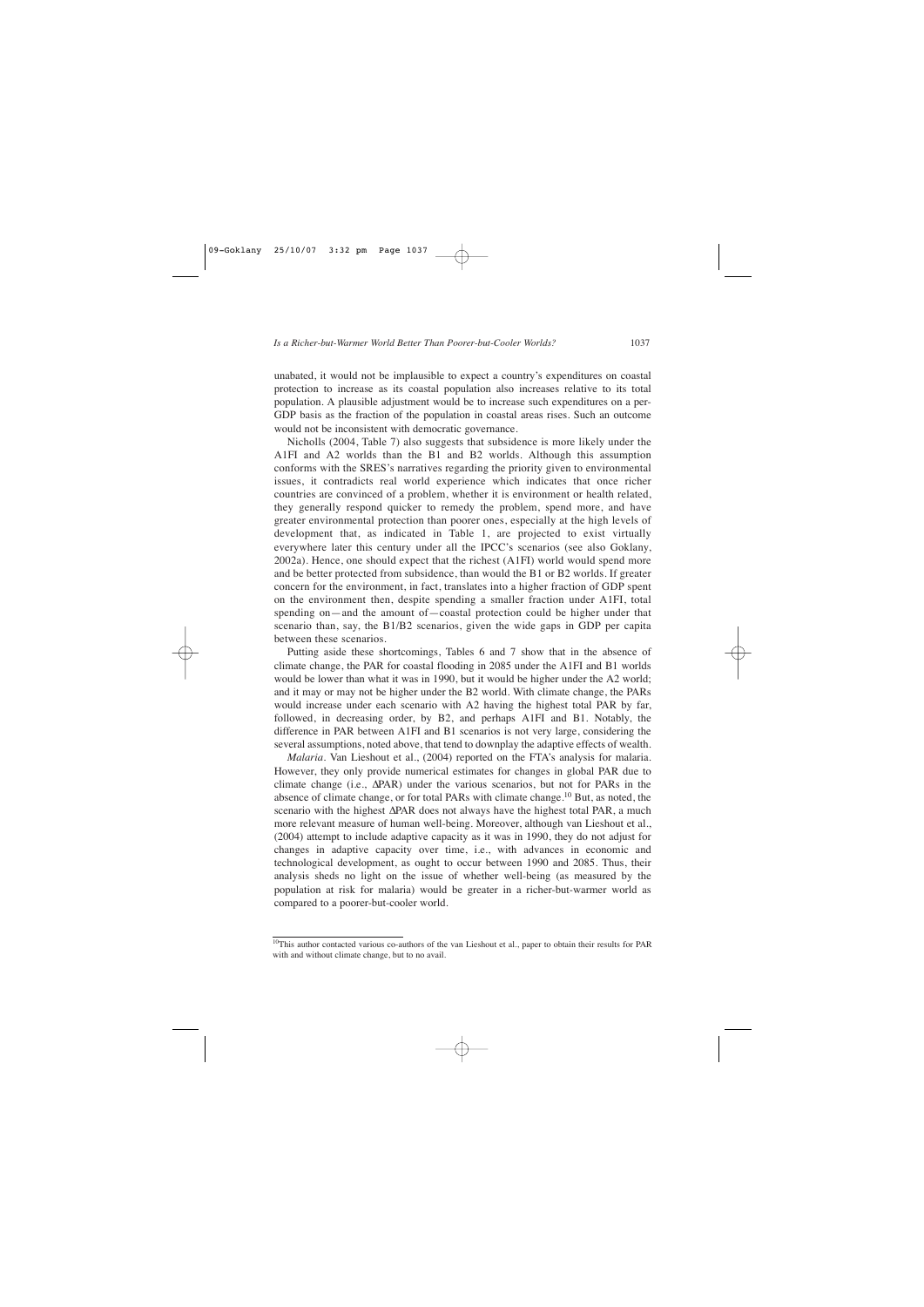unabated, it would not be implausible to expect a country's expenditures on coastal protection to increase as its coastal population also increases relative to its total population. A plausible adjustment would be to increase such expenditures on a per-GDP basis as the fraction of the population in coastal areas rises. Such an outcome would not be inconsistent with democratic governance.

Nicholls (2004, Table 7) also suggests that subsidence is more likely under the A1FI and A2 worlds than the B1 and B2 worlds. Although this assumption conforms with the SRES's narratives regarding the priority given to environmental issues, it contradicts real world experience which indicates that once richer countries are convinced of a problem, whether it is environment or health related, they generally respond quicker to remedy the problem, spend more, and have greater environmental protection than poorer ones, especially at the high levels of development that, as indicated in Table 1, are projected to exist virtually everywhere later this century under all the IPCC's scenarios (see also Goklany, 2002a). Hence, one should expect that the richest (A1FI) world would spend more and be better protected from subsidence, than would the B1 or B2 worlds. If greater concern for the environment, in fact, translates into a higher fraction of GDP spent on the environment then, despite spending a smaller fraction under A1FI, total spending on—and the amount of—coastal protection could be higher under that scenario than, say, the B1/B2 scenarios, given the wide gaps in GDP per capita between these scenarios.

Putting aside these shortcomings, Tables 6 and 7 show that in the absence of climate change, the PAR for coastal flooding in 2085 under the A1FI and B1 worlds would be lower than what it was in 1990, but it would be higher under the A2 world; and it may or may not be higher under the B2 world. With climate change, the PARs would increase under each scenario with A2 having the highest total PAR by far, followed, in decreasing order, by B2, and perhaps A1FI and B1. Notably, the difference in PAR between A1FI and B1 scenarios is not very large, considering the several assumptions, noted above, that tend to downplay the adaptive effects of wealth.

*Malaria*. Van Lieshout et al., (2004) reported on the FTA's analysis for malaria. However, they only provide numerical estimates for changes in global PAR due to climate change (i.e., ∆PAR) under the various scenarios, but not for PARs in the absence of climate change, or for total PARs with climate change.10 But, as noted, the scenario with the highest ∆PAR does not always have the highest total PAR, a much more relevant measure of human well-being. Moreover, although van Lieshout et al., (2004) attempt to include adaptive capacity as it was in 1990, they do not adjust for changes in adaptive capacity over time, i.e., with advances in economic and technological development, as ought to occur between 1990 and 2085. Thus, their analysis sheds no light on the issue of whether well-being (as measured by the population at risk for malaria) would be greater in a richer-but-warmer world as compared to a poorer-but-cooler world.

<sup>10</sup>This author contacted various co-authors of the van Lieshout et al., paper to obtain their results for PAR with and without climate change, but to no avail.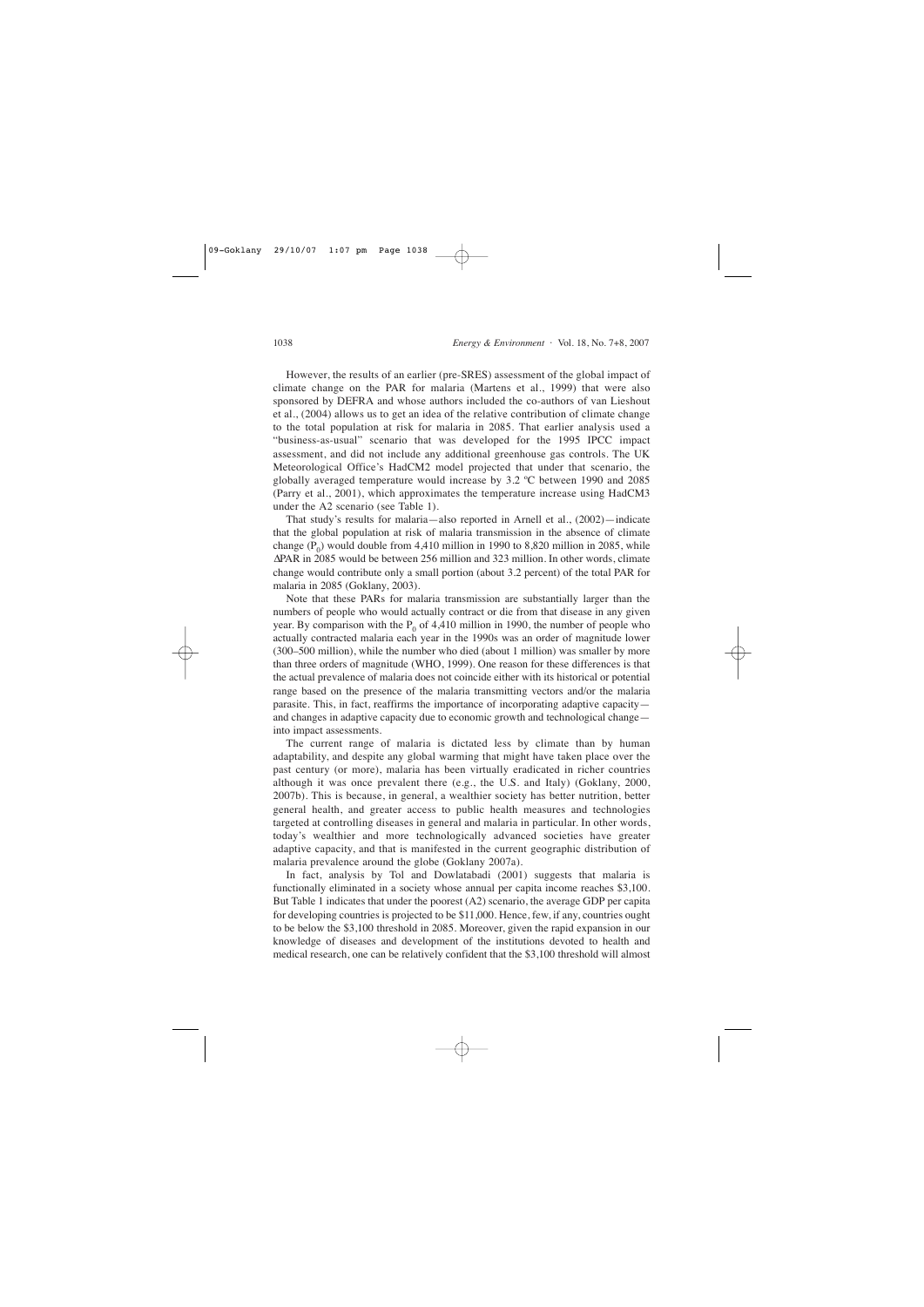However, the results of an earlier (pre-SRES) assessment of the global impact of climate change on the PAR for malaria (Martens et al., 1999) that were also sponsored by DEFRA and whose authors included the co-authors of van Lieshout et al., (2004) allows us to get an idea of the relative contribution of climate change to the total population at risk for malaria in 2085. That earlier analysis used a "business-as-usual" scenario that was developed for the 1995 IPCC impact assessment, and did not include any additional greenhouse gas controls. The UK Meteorological Office's HadCM2 model projected that under that scenario, the globally averaged temperature would increase by 3.2 ºC between 1990 and 2085 (Parry et al., 2001), which approximates the temperature increase using HadCM3 under the A2 scenario (see Table 1).

That study's results for malaria—also reported in Arnell et al., (2002)—indicate that the global population at risk of malaria transmission in the absence of climate change  $(P_0)$  would double from 4,410 million in 1990 to 8,820 million in 2085, while ∆PAR in 2085 would be between 256 million and 323 million. In other words, climate change would contribute only a small portion (about 3.2 percent) of the total PAR for malaria in 2085 (Goklany, 2003).

Note that these PARs for malaria transmission are substantially larger than the numbers of people who would actually contract or die from that disease in any given year. By comparison with the  $P_0$  of 4,410 million in 1990, the number of people who actually contracted malaria each year in the 1990s was an order of magnitude lower (300–500 million), while the number who died (about 1 million) was smaller by more than three orders of magnitude (WHO, 1999). One reason for these differences is that the actual prevalence of malaria does not coincide either with its historical or potential range based on the presence of the malaria transmitting vectors and/or the malaria parasite. This, in fact, reaffirms the importance of incorporating adaptive capacity and changes in adaptive capacity due to economic growth and technological change into impact assessments.

The current range of malaria is dictated less by climate than by human adaptability, and despite any global warming that might have taken place over the past century (or more), malaria has been virtually eradicated in richer countries although it was once prevalent there (e.g., the U.S. and Italy) (Goklany, 2000, 2007b). This is because, in general, a wealthier society has better nutrition, better general health, and greater access to public health measures and technologies targeted at controlling diseases in general and malaria in particular. In other words, today's wealthier and more technologically advanced societies have greater adaptive capacity, and that is manifested in the current geographic distribution of malaria prevalence around the globe (Goklany 2007a).

In fact, analysis by Tol and Dowlatabadi (2001) suggests that malaria is functionally eliminated in a society whose annual per capita income reaches \$3,100. But Table 1 indicates that under the poorest (A2) scenario, the average GDP per capita for developing countries is projected to be \$11,000. Hence, few, if any, countries ought to be below the \$3,100 threshold in 2085. Moreover, given the rapid expansion in our knowledge of diseases and development of the institutions devoted to health and medical research, one can be relatively confident that the \$3,100 threshold will almost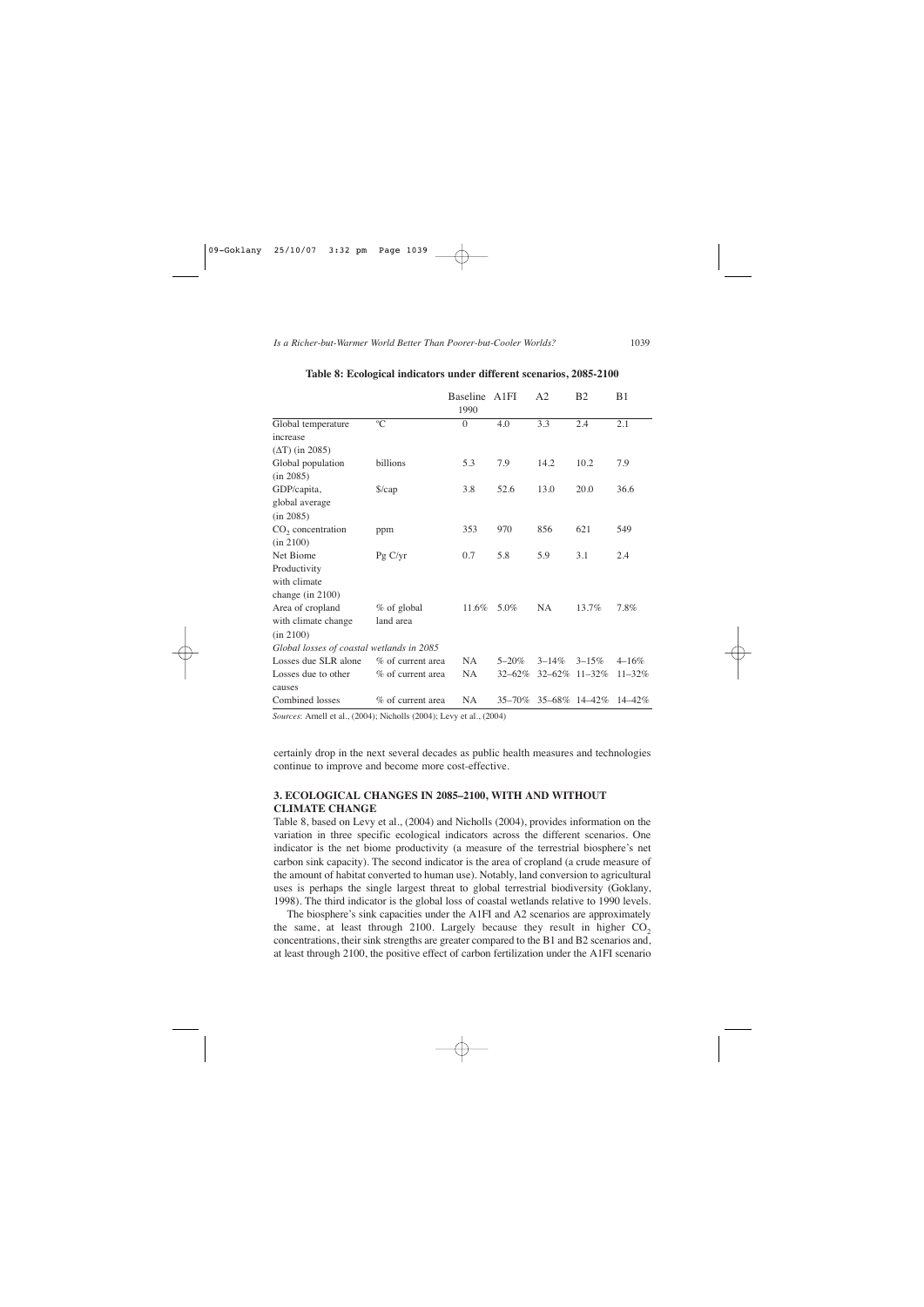|                                           |                      | <b>Baseline</b><br>1990 | A1FI        | A <sub>2</sub> | B <sub>2</sub> | B <sub>1</sub> |
|-------------------------------------------|----------------------|-------------------------|-------------|----------------|----------------|----------------|
| Global temperature                        | $\rm ^{o}C$          | $\Omega$                | 4.0         | 3.3            | 2.4            | 2.1            |
| increase                                  |                      |                         |             |                |                |                |
| $(\Delta T)$ (in 2085)                    |                      |                         |             |                |                |                |
| Global population                         | billions             | 5.3                     | 7.9         | 14.2           | 10.2           | 7.9            |
| (in 2085)                                 |                      |                         |             |                |                |                |
| GDP/capita,                               | $\frac{\sqrt{2}}{2}$ | 3.8                     | 52.6        | 13.0           | 20.0           | 36.6           |
| global average                            |                      |                         |             |                |                |                |
| (in 2085)                                 |                      |                         |             |                |                |                |
| $CO2$ concentration                       | ppm                  | 353                     | 970         | 856            | 621            | 549            |
| (in 2100)                                 |                      |                         |             |                |                |                |
| Net Biome                                 | Pg C/yr              | 0.7                     | 5.8         | 5.9            | 3.1            | 2.4            |
| Productivity                              |                      |                         |             |                |                |                |
| with climate                              |                      |                         |             |                |                |                |
| change (in 2100)                          |                      |                         |             |                |                |                |
| Area of cropland                          | % of global          | 11.6%                   | 5.0%        | <b>NA</b>      | 13.7%          | 7.8%           |
| with climate change                       | land area            |                         |             |                |                |                |
| (in 2100)                                 |                      |                         |             |                |                |                |
| Global losses of coastal wetlands in 2085 |                      |                         |             |                |                |                |
| Losses due SLR alone                      | % of current area    | <b>NA</b>               | $5 - 20%$   | $3 - 14%$      | $3 - 15\%$     | $4 - 16\%$     |
| Losses due to other<br>causes             | % of current area    | NA                      | $32 - 62\%$ | $32 - 62\%$    | $11 - 32\%$    | $11 - 32\%$    |
| Combined losses                           | % of current area    | NA                      | $35 - 70\%$ | 35-68% 14-42%  |                | $14 - 42\%$    |

#### **Table 8: Ecological indicators under different scenarios, 2085-2100**

*Sources*: Arnell et al., (2004); Nicholls (2004); Levy et al., (2004)

certainly drop in the next several decades as public health measures and technologies continue to improve and become more cost-effective.

# **3. ECOLOGICAL CHANGES IN 2085–2100, WITH AND WITHOUT CLIMATE CHANGE**

Table 8, based on Levy et al., (2004) and Nicholls (2004), provides information on the variation in three specific ecological indicators across the different scenarios. One indicator is the net biome productivity (a measure of the terrestrial biosphere's net carbon sink capacity). The second indicator is the area of cropland (a crude measure of the amount of habitat converted to human use). Notably, land conversion to agricultural uses is perhaps the single largest threat to global terrestrial biodiversity (Goklany, 1998). The third indicator is the global loss of coastal wetlands relative to 1990 levels.

The biosphere's sink capacities under the A1FI and A2 scenarios are approximately the same, at least through 2100. Largely because they result in higher  $CO<sub>2</sub>$ concentrations, their sink strengths are greater compared to the B1 and B2 scenarios and, at least through 2100, the positive effect of carbon fertilization under the A1FI scenario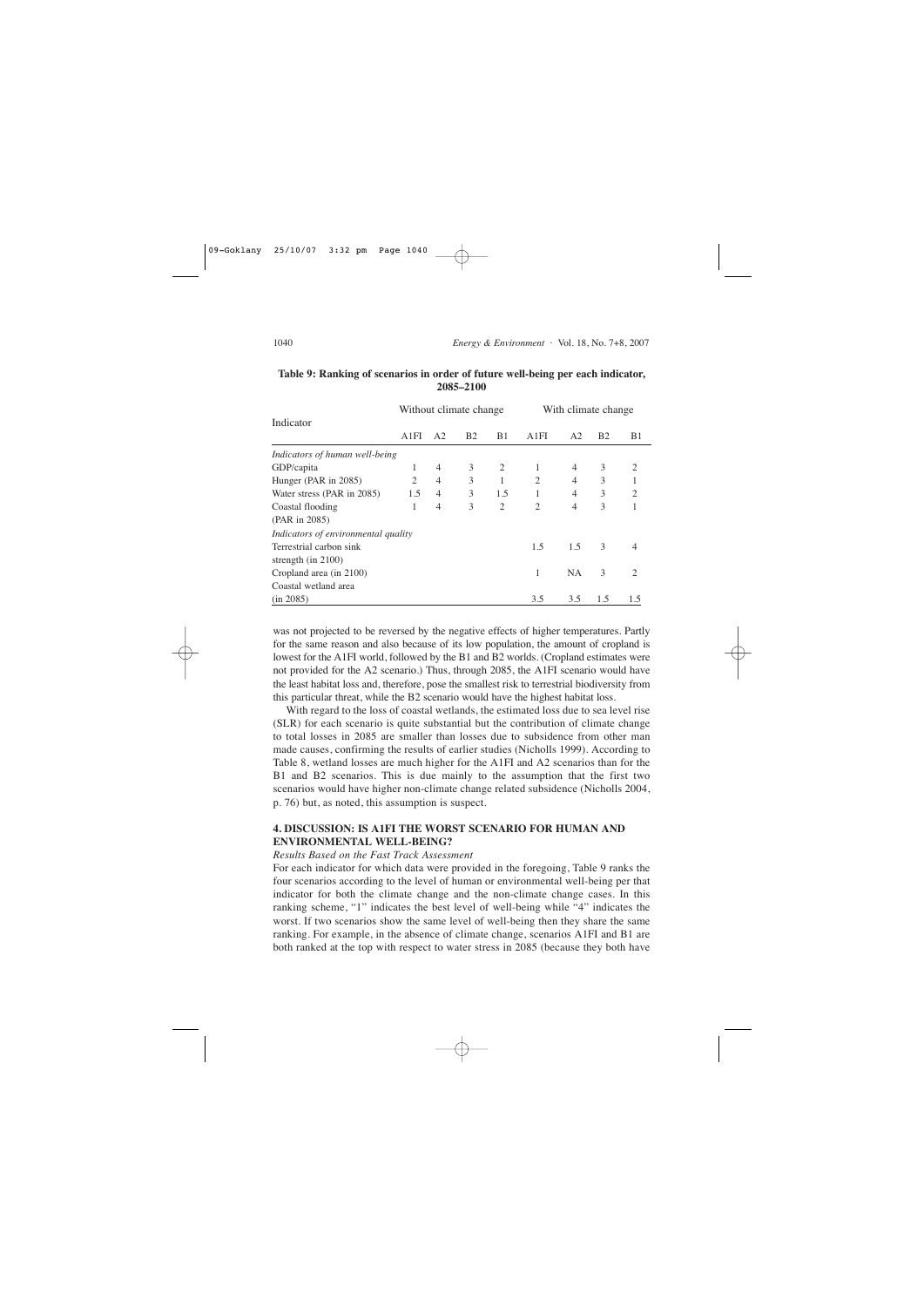|                                     | Without climate change |                |           |                | With climate change |                |               |                               |
|-------------------------------------|------------------------|----------------|-----------|----------------|---------------------|----------------|---------------|-------------------------------|
| Indicator                           |                        |                |           |                |                     |                |               |                               |
|                                     | A1FI                   | A <sub>2</sub> | <b>B2</b> | B1             | A1FI                | A <sub>2</sub> | <b>B2</b>     | B1                            |
| Indicators of human well-being      |                        |                |           |                |                     |                |               |                               |
| GDP/capita                          | 1                      | $\overline{4}$ | 3         | $\overline{c}$ |                     | 4              | 3             | 2                             |
| Hunger (PAR in 2085)                | 2                      | $\overline{4}$ | 3         |                | $\overline{c}$      | $\overline{4}$ | 3             |                               |
| Water stress (PAR in 2085)          | 1.5                    | $\overline{4}$ | 3         | 1.5            |                     | 4              | 3             | $\overline{2}$                |
| Coastal flooding                    | 1                      | $\overline{4}$ | 3         | $\overline{2}$ | $\overline{c}$      | 4              | 3             |                               |
| (PAR in 2085)                       |                        |                |           |                |                     |                |               |                               |
| Indicators of environmental quality |                        |                |           |                |                     |                |               |                               |
| Terrestrial carbon sink             |                        |                |           |                | 1.5                 | 1.5            | $\mathcal{F}$ | 4                             |
| strength (in $2100$ )               |                        |                |           |                |                     |                |               |                               |
| Cropland area (in 2100)             |                        |                |           |                | 1                   | <b>NA</b>      | 3             | $\mathfrak{D}_{\mathfrak{p}}$ |
| Coastal wetland area                |                        |                |           |                |                     |                |               |                               |
| (in 2085)                           |                        |                |           |                | 3.5                 | 3.5            | 1.5           | 1.5                           |

### **Table 9: Ranking of scenarios in order of future well-being per each indicator, 2085–2100**

was not projected to be reversed by the negative effects of higher temperatures. Partly for the same reason and also because of its low population, the amount of cropland is lowest for the A1FI world, followed by the B1 and B2 worlds. (Cropland estimates were not provided for the A2 scenario.) Thus, through 2085, the A1FI scenario would have the least habitat loss and, therefore, pose the smallest risk to terrestrial biodiversity from this particular threat, while the B2 scenario would have the highest habitat loss.

With regard to the loss of coastal wetlands, the estimated loss due to sea level rise (SLR) for each scenario is quite substantial but the contribution of climate change to total losses in 2085 are smaller than losses due to subsidence from other man made causes, confirming the results of earlier studies (Nicholls 1999). According to Table 8, wetland losses are much higher for the A1FI and A2 scenarios than for the B1 and B2 scenarios. This is due mainly to the assumption that the first two scenarios would have higher non-climate change related subsidence (Nicholls 2004, p. 76) but, as noted, this assumption is suspect.

# **4. DISCUSSION: IS A1FI THE WORST SCENARIO FOR HUMAN AND ENVIRONMENTAL WELL-BEING?**

### *Results Based on the Fast Track Assessment*

For each indicator for which data were provided in the foregoing, Table 9 ranks the four scenarios according to the level of human or environmental well-being per that indicator for both the climate change and the non-climate change cases. In this ranking scheme, "1" indicates the best level of well-being while "4" indicates the worst. If two scenarios show the same level of well-being then they share the same ranking. For example, in the absence of climate change, scenarios A1FI and B1 are both ranked at the top with respect to water stress in 2085 (because they both have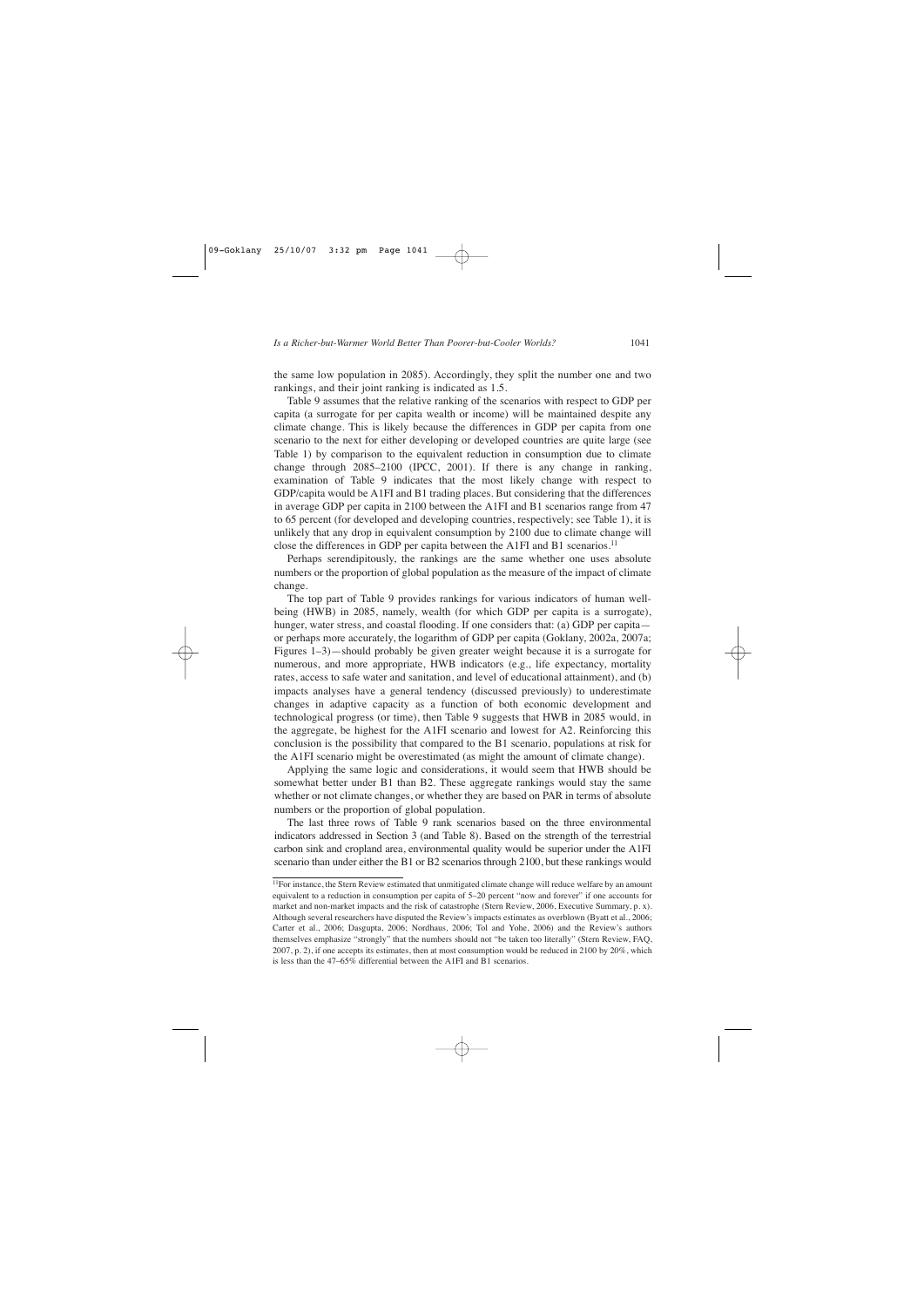the same low population in 2085). Accordingly, they split the number one and two rankings, and their joint ranking is indicated as 1.5.

Table 9 assumes that the relative ranking of the scenarios with respect to GDP per capita (a surrogate for per capita wealth or income) will be maintained despite any climate change. This is likely because the differences in GDP per capita from one scenario to the next for either developing or developed countries are quite large (see Table 1) by comparison to the equivalent reduction in consumption due to climate change through 2085–2100 (IPCC, 2001). If there is any change in ranking, examination of Table 9 indicates that the most likely change with respect to GDP/capita would be A1FI and B1 trading places. But considering that the differences in average GDP per capita in 2100 between the A1FI and B1 scenarios range from 47 to 65 percent (for developed and developing countries, respectively; see Table 1), it is unlikely that any drop in equivalent consumption by 2100 due to climate change will close the differences in GDP per capita between the A1FI and B1 scenarios.<sup>11</sup>

Perhaps serendipitously, the rankings are the same whether one uses absolute numbers or the proportion of global population as the measure of the impact of climate change.

The top part of Table 9 provides rankings for various indicators of human wellbeing (HWB) in 2085, namely, wealth (for which GDP per capita is a surrogate), hunger, water stress, and coastal flooding. If one considers that: (a) GDP per capita or perhaps more accurately, the logarithm of GDP per capita (Goklany, 2002a, 2007a; Figures 1–3)—should probably be given greater weight because it is a surrogate for numerous, and more appropriate, HWB indicators (e.g., life expectancy, mortality rates, access to safe water and sanitation, and level of educational attainment), and (b) impacts analyses have a general tendency (discussed previously) to underestimate changes in adaptive capacity as a function of both economic development and technological progress (or time), then Table 9 suggests that HWB in 2085 would, in the aggregate, be highest for the A1FI scenario and lowest for A2. Reinforcing this conclusion is the possibility that compared to the B1 scenario, populations at risk for the A1FI scenario might be overestimated (as might the amount of climate change).

Applying the same logic and considerations, it would seem that HWB should be somewhat better under B1 than B2. These aggregate rankings would stay the same whether or not climate changes, or whether they are based on PAR in terms of absolute numbers or the proportion of global population.

The last three rows of Table 9 rank scenarios based on the three environmental indicators addressed in Section 3 (and Table 8). Based on the strength of the terrestrial carbon sink and cropland area, environmental quality would be superior under the A1FI scenario than under either the B1 or B2 scenarios through 2100, but these rankings would

<sup>&</sup>lt;sup>11</sup>For instance, the Stern Review estimated that unmitigated climate change will reduce welfare by an amount equivalent to a reduction in consumption per capita of 5–20 percent "now and forever" if one accounts for market and non-market impacts and the risk of catastrophe (Stern Review, 2006, Executive Summary, p. x). Although several researchers have disputed the Review's impacts estimates as overblown (Byatt et al., 2006; Carter et al., 2006; Dasgupta, 2006; Nordhaus, 2006; Tol and Yohe, 2006) and the Review's authors themselves emphasize "strongly" that the numbers should not "be taken too literally" (Stern Review, FAQ, 2007, p. 2), if one accepts its estimates, then at most consumption would be reduced in 2100 by 20%, which is less than the 47–65% differential between the A1FI and B1 scenarios.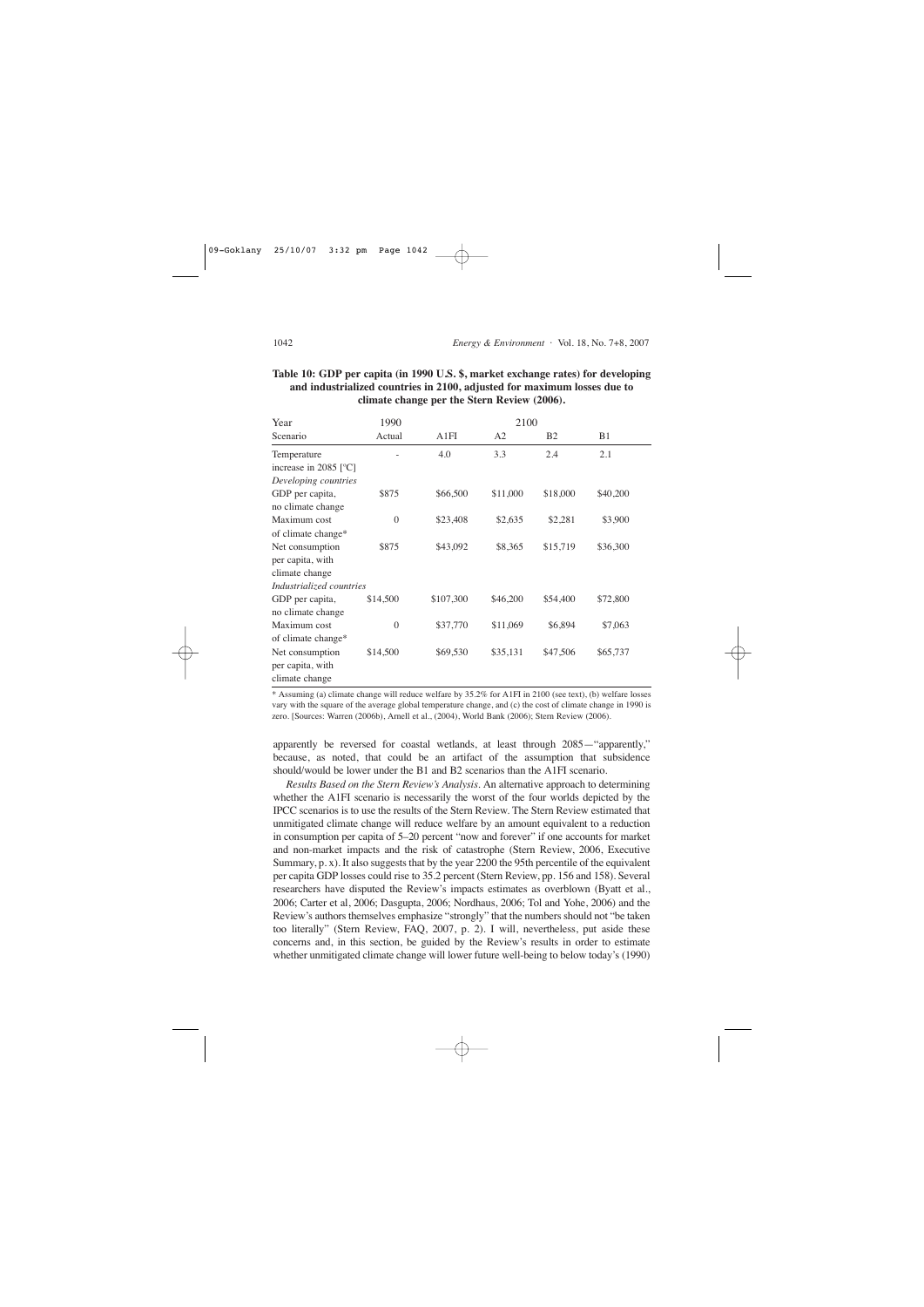# **Table 10: GDP per capita (in 1990 U.S. \$, market exchange rates) for developing and industrialized countries in 2100, adjusted for maximum losses due to climate change per the Stern Review (2006).**

| Year                         | 1990           |           | 2100     |           |            |  |  |
|------------------------------|----------------|-----------|----------|-----------|------------|--|--|
| Scenario                     | Actual         | A1FI      | A2       | <b>B2</b> | <b>B</b> 1 |  |  |
| Temperature                  |                | 4.0       | 3.3      | 2.4       | 2.1        |  |  |
| increase in 2085 $\degree$ C |                |           |          |           |            |  |  |
| Developing countries         |                |           |          |           |            |  |  |
| GDP per capita,              | \$875          | \$66,500  | \$11,000 | \$18,000  | \$40,200   |  |  |
| no climate change            |                |           |          |           |            |  |  |
| Maximum cost                 | $\overline{0}$ | \$23,408  | \$2,635  | \$2,281   | \$3,900    |  |  |
| of climate change*           |                |           |          |           |            |  |  |
| Net consumption              | \$875          | \$43,092  | \$8,365  | \$15,719  | \$36,300   |  |  |
| per capita, with             |                |           |          |           |            |  |  |
| climate change               |                |           |          |           |            |  |  |
| Industrialized countries     |                |           |          |           |            |  |  |
| GDP per capita,              | \$14,500       | \$107,300 | \$46,200 | \$54,400  | \$72,800   |  |  |
| no climate change            |                |           |          |           |            |  |  |
| Maximum cost                 | $\overline{0}$ | \$37,770  | \$11,069 | \$6,894   | \$7,063    |  |  |
| of climate change*           |                |           |          |           |            |  |  |
| Net consumption              | \$14,500       | \$69,530  | \$35,131 | \$47,506  | \$65,737   |  |  |
| per capita, with             |                |           |          |           |            |  |  |
| climate change               |                |           |          |           |            |  |  |

\* Assuming (a) climate change will reduce welfare by 35.2% for A1FI in 2100 (see text), (b) welfare losses vary with the square of the average global temperature change, and (c) the cost of climate change in 1990 is zero. [Sources: Warren (2006b), Arnell et al., (2004), World Bank (2006); Stern Review (2006).

apparently be reversed for coastal wetlands, at least through 2085—"apparently," because, as noted, that could be an artifact of the assumption that subsidence should/would be lower under the B1 and B2 scenarios than the A1FI scenario.

*Results Based on the Stern Review's Analysis*. An alternative approach to determining whether the A1FI scenario is necessarily the worst of the four worlds depicted by the IPCC scenarios is to use the results of the Stern Review. The Stern Review estimated that unmitigated climate change will reduce welfare by an amount equivalent to a reduction in consumption per capita of 5–20 percent "now and forever" if one accounts for market and non-market impacts and the risk of catastrophe (Stern Review, 2006, Executive Summary, p. x). It also suggests that by the year 2200 the 95th percentile of the equivalent per capita GDP losses could rise to 35.2 percent (Stern Review, pp. 156 and 158). Several researchers have disputed the Review's impacts estimates as overblown (Byatt et al., 2006; Carter et al, 2006; Dasgupta, 2006; Nordhaus, 2006; Tol and Yohe, 2006) and the Review's authors themselves emphasize "strongly" that the numbers should not "be taken too literally" (Stern Review, FAQ, 2007, p. 2). I will, nevertheless, put aside these concerns and, in this section, be guided by the Review's results in order to estimate whether unmitigated climate change will lower future well-being to below today's (1990)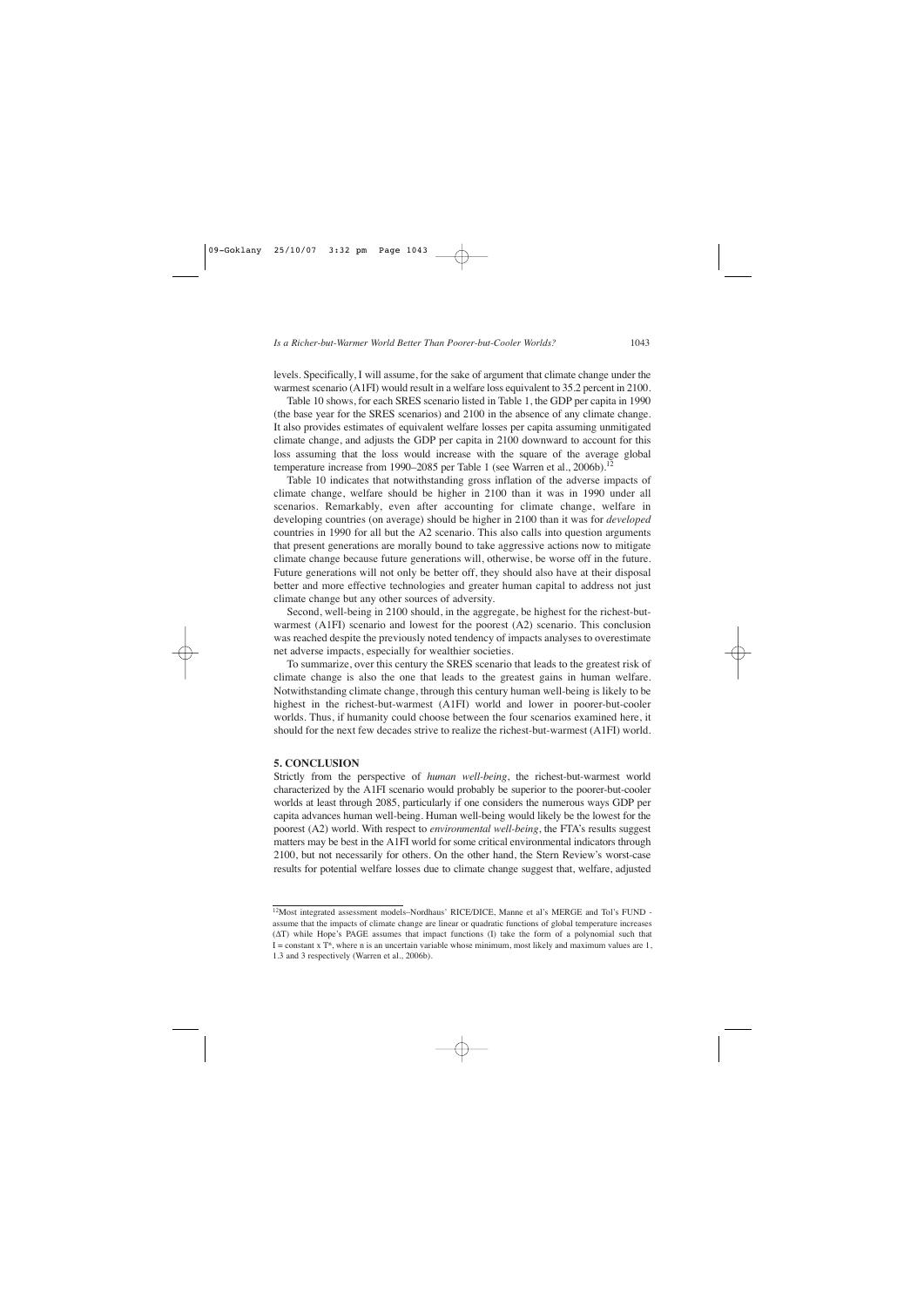levels. Specifically, I will assume, for the sake of argument that climate change under the warmest scenario (A1FI) would result in a welfare loss equivalent to 35.2 percent in 2100.

Table 10 shows, for each SRES scenario listed in Table 1, the GDP per capita in 1990 (the base year for the SRES scenarios) and 2100 in the absence of any climate change. It also provides estimates of equivalent welfare losses per capita assuming unmitigated climate change, and adjusts the GDP per capita in 2100 downward to account for this loss assuming that the loss would increase with the square of the average global temperature increase from 1990–2085 per Table 1 (see Warren et al., 2006b).<sup>12</sup>

Table 10 indicates that notwithstanding gross inflation of the adverse impacts of climate change, welfare should be higher in 2100 than it was in 1990 under all scenarios. Remarkably, even after accounting for climate change, welfare in developing countries (on average) should be higher in 2100 than it was for *developed* countries in 1990 for all but the A2 scenario. This also calls into question arguments that present generations are morally bound to take aggressive actions now to mitigate climate change because future generations will, otherwise, be worse off in the future. Future generations will not only be better off, they should also have at their disposal better and more effective technologies and greater human capital to address not just climate change but any other sources of adversity.

Second, well-being in 2100 should, in the aggregate, be highest for the richest-butwarmest (A1FI) scenario and lowest for the poorest (A2) scenario. This conclusion was reached despite the previously noted tendency of impacts analyses to overestimate net adverse impacts, especially for wealthier societies.

To summarize, over this century the SRES scenario that leads to the greatest risk of climate change is also the one that leads to the greatest gains in human welfare. Notwithstanding climate change, through this century human well-being is likely to be highest in the richest-but-warmest (A1FI) world and lower in poorer-but-cooler worlds. Thus, if humanity could choose between the four scenarios examined here, it should for the next few decades strive to realize the richest-but-warmest (A1FI) world.

#### **5. CONCLUSION**

Strictly from the perspective of *human well-being*, the richest-but-warmest world characterized by the A1FI scenario would probably be superior to the poorer-but-cooler worlds at least through 2085, particularly if one considers the numerous ways GDP per capita advances human well-being. Human well-being would likely be the lowest for the poorest (A2) world. With respect to *environmental well-being*, the FTA's results suggest matters may be best in the A1FI world for some critical environmental indicators through 2100, but not necessarily for others. On the other hand, the Stern Review's worst-case results for potential welfare losses due to climate change suggest that, welfare, adjusted

<sup>12</sup>Most integrated assessment models–Nordhaus' RICE/DICE, Manne et al's MERGE and Tol's FUND assume that the impacts of climate change are linear or quadratic functions of global temperature increases (∆T) while Hope's PAGE assumes that impact functions (I) take the form of a polynomial such that  $I = constant x T<sup>n</sup>$ , where n is an uncertain variable whose minimum, most likely and maximum values are 1, 1.3 and 3 respectively (Warren et al., 2006b).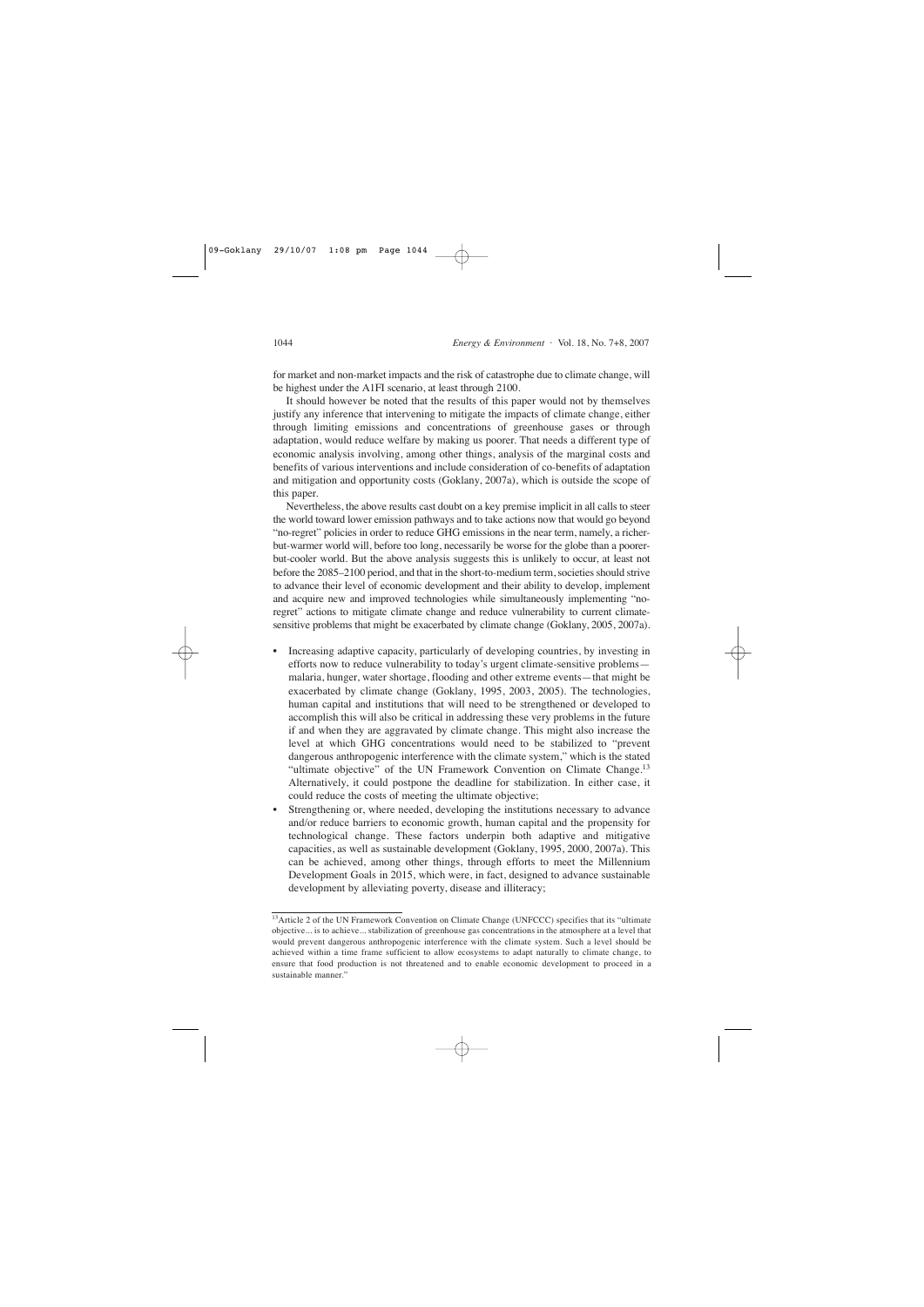for market and non-market impacts and the risk of catastrophe due to climate change, will be highest under the A1FI scenario, at least through 2100.

It should however be noted that the results of this paper would not by themselves justify any inference that intervening to mitigate the impacts of climate change, either through limiting emissions and concentrations of greenhouse gases or through adaptation, would reduce welfare by making us poorer. That needs a different type of economic analysis involving, among other things, analysis of the marginal costs and benefits of various interventions and include consideration of co-benefits of adaptation and mitigation and opportunity costs (Goklany, 2007a), which is outside the scope of this paper.

Nevertheless, the above results cast doubt on a key premise implicit in all calls to steer the world toward lower emission pathways and to take actions now that would go beyond "no-regret" policies in order to reduce GHG emissions in the near term, namely, a richerbut-warmer world will, before too long, necessarily be worse for the globe than a poorerbut-cooler world. But the above analysis suggests this is unlikely to occur, at least not before the 2085–2100 period, and that in the short-to-medium term, societies should strive to advance their level of economic development and their ability to develop, implement and acquire new and improved technologies while simultaneously implementing "noregret" actions to mitigate climate change and reduce vulnerability to current climatesensitive problems that might be exacerbated by climate change (Goklany, 2005, 2007a).

- Increasing adaptive capacity, particularly of developing countries, by investing in efforts now to reduce vulnerability to today's urgent climate-sensitive problems malaria, hunger, water shortage, flooding and other extreme events—that might be exacerbated by climate change (Goklany, 1995, 2003, 2005). The technologies, human capital and institutions that will need to be strengthened or developed to accomplish this will also be critical in addressing these very problems in the future if and when they are aggravated by climate change. This might also increase the level at which GHG concentrations would need to be stabilized to "prevent dangerous anthropogenic interference with the climate system," which is the stated "ultimate objective" of the UN Framework Convention on Climate Change.<sup>13</sup> Alternatively, it could postpone the deadline for stabilization. In either case, it could reduce the costs of meeting the ultimate objective;
- Strengthening or, where needed, developing the institutions necessary to advance and/or reduce barriers to economic growth, human capital and the propensity for technological change. These factors underpin both adaptive and mitigative capacities, as well as sustainable development (Goklany, 1995, 2000, 2007a). This can be achieved, among other things, through efforts to meet the Millennium Development Goals in 2015, which were, in fact, designed to advance sustainable development by alleviating poverty, disease and illiteracy;

<sup>&</sup>lt;sup>13</sup>Article 2 of the UN Framework Convention on Climate Change (UNFCCC) specifies that its "ultimate objective... is to achieve... stabilization of greenhouse gas concentrations in the atmosphere at a level that would prevent dangerous anthropogenic interference with the climate system. Such a level should be achieved within a time frame sufficient to allow ecosystems to adapt naturally to climate change, to ensure that food production is not threatened and to enable economic development to proceed in a sustainable manner."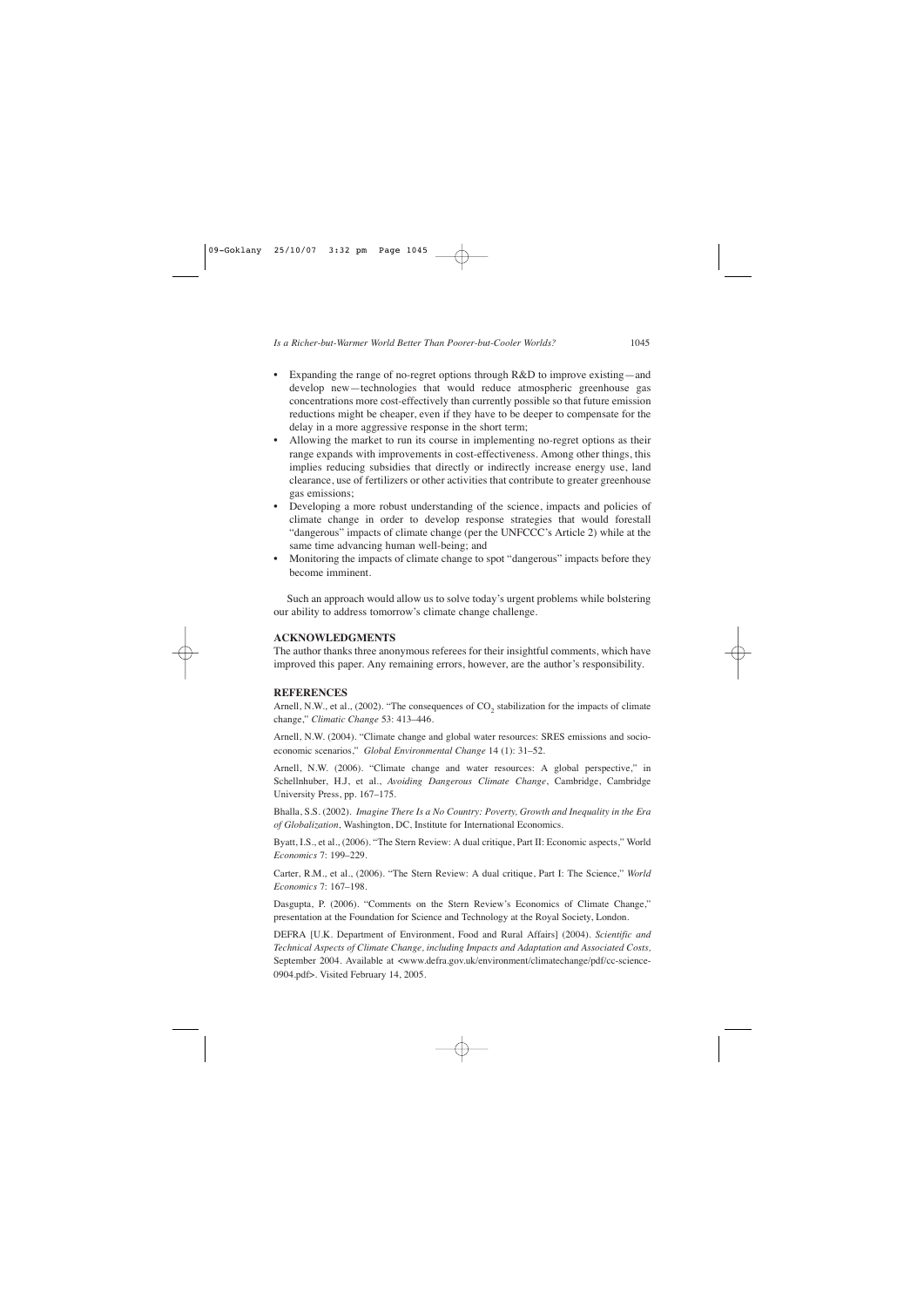- Expanding the range of no-regret options through R&D to improve existing—and develop new—technologies that would reduce atmospheric greenhouse gas concentrations more cost-effectively than currently possible so that future emission reductions might be cheaper, even if they have to be deeper to compensate for the delay in a more aggressive response in the short term;
- Allowing the market to run its course in implementing no-regret options as their range expands with improvements in cost-effectiveness. Among other things, this implies reducing subsidies that directly or indirectly increase energy use, land clearance, use of fertilizers or other activities that contribute to greater greenhouse gas emissions;
- Developing a more robust understanding of the science, impacts and policies of climate change in order to develop response strategies that would forestall "dangerous" impacts of climate change (per the UNFCCC's Article 2) while at the same time advancing human well-being; and
- Monitoring the impacts of climate change to spot "dangerous" impacts before they become imminent.

Such an approach would allow us to solve today's urgent problems while bolstering our ability to address tomorrow's climate change challenge.

### **ACKNOWLEDGMENTS**

The author thanks three anonymous referees for their insightful comments, which have improved this paper. Any remaining errors, however, are the author's responsibility.

### **REFERENCES**

Arnell, N.W., et al., (2002). "The consequences of  $CO<sub>2</sub>$  stabilization for the impacts of climate change," *Climatic Change* 53: 413–446.

Arnell, N.W. (2004). "Climate change and global water resources: SRES emissions and socioeconomic scenarios," *Global Environmental Change* 14 (1): 31–52.

Arnell, N.W. (2006). "Climate change and water resources: A global perspective," in Schellnhuber, H.J, et al., *Avoiding Dangerous Climate Change*, Cambridge, Cambridge University Press, pp. 167–175.

Bhalla, S.S. (2002). *Imagine There Is a No Country: Poverty, Growth and Inequality in the Era of Globalization*, Washington, DC, Institute for International Economics.

Byatt, I.S., et al., (2006). "The Stern Review: A dual critique, Part II: Economic aspects," World *Economics* 7: 199–229.

Carter, R.M., et al., (2006). "The Stern Review: A dual critique, Part I: The Science," *World Economics* 7: 167–198.

Dasgupta, P. (2006). "Comments on the Stern Review's Economics of Climate Change," presentation at the Foundation for Science and Technology at the Royal Society, London.

DEFRA [U.K. Department of Environment, Food and Rural Affairs] (2004). *Scientific and Technical Aspects of Climate Change, including Impacts and Adaptation and Associated Costs,* September 2004. Available at <www.defra.gov.uk/environment/climatechange/pdf/cc-science-0904.pdf>. Visited February 14, 2005.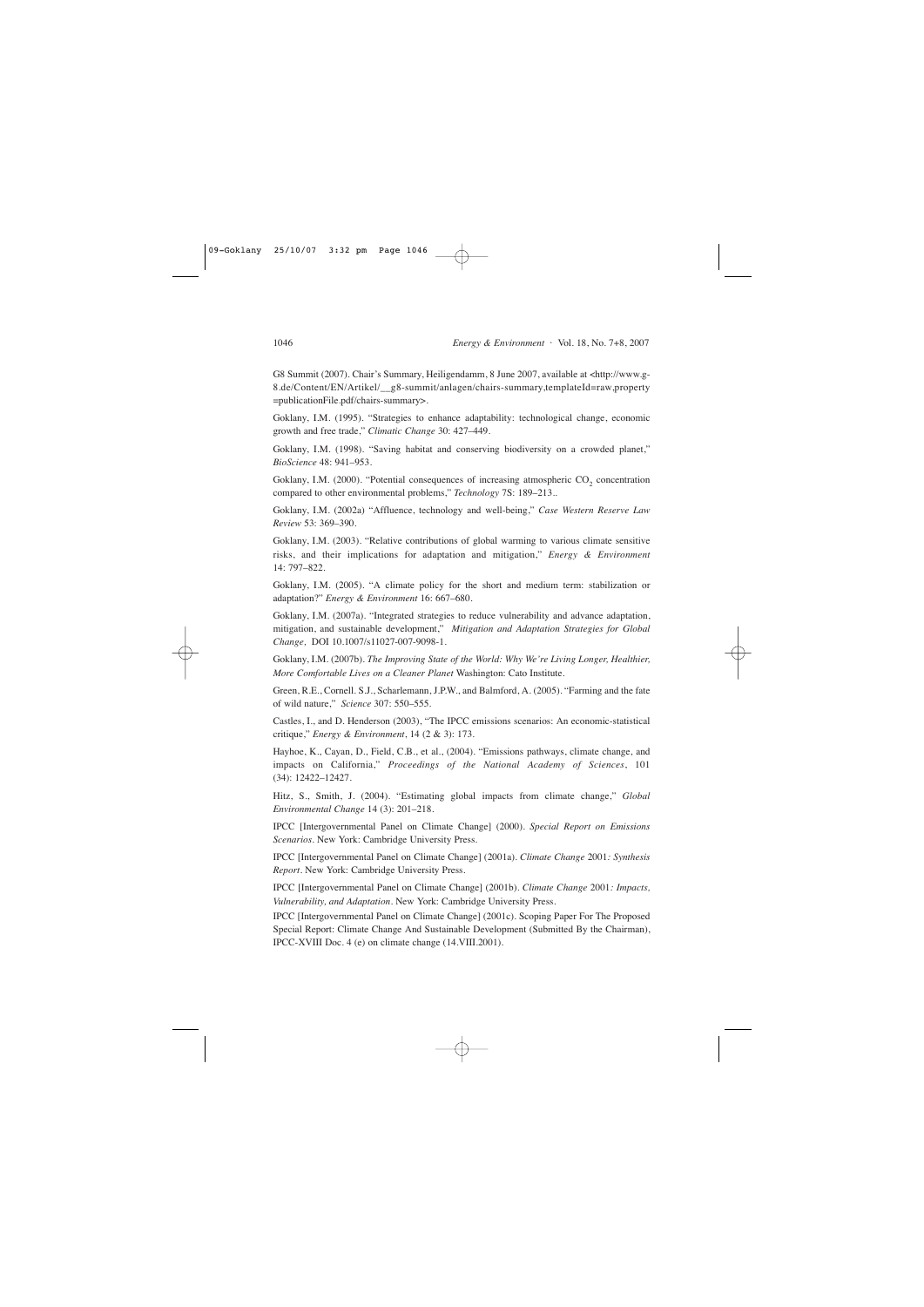G8 Summit (2007). Chair's Summary, Heiligendamm, 8 June 2007, available at <http://www.g-8.de/Content/EN/Artikel/\_\_g8-summit/anlagen/chairs-summary,templateId=raw,property =publicationFile.pdf/chairs-summary>.

Goklany, I.M. (1995). "Strategies to enhance adaptability: technological change, economic growth and free trade," *Climatic Change* 30: 427–449.

Goklany, I.M. (1998). "Saving habitat and conserving biodiversity on a crowded planet," *BioScience* 48: 941–953.

Goklany, I.M. (2000). "Potential consequences of increasing atmospheric CO<sub>2</sub> concentration compared to other environmental problems," *Technology* 7S: 189–213..

Goklany, I.M. (2002a) "Affluence, technology and well-being," *Case Western Reserve Law Review* 53: 369–390.

Goklany, I.M. (2003). "Relative contributions of global warming to various climate sensitive risks, and their implications for adaptation and mitigation," *Energy & Environment*  14: 797–822.

Goklany, I.M. (2005). "A climate policy for the short and medium term: stabilization or adaptation?" *Energy & Environment* 16: 667–680.

Goklany, I.M. (2007a). "Integrated strategies to reduce vulnerability and advance adaptation, mitigation, and sustainable development," *Mitigation and Adaptation Strategies for Global Change,* DOI 10.1007/s11027-007-9098-1.

Goklany, I.M. (2007b). *The Improving State of the World: Why We're Living Longer, Healthier, More Comfortable Lives on a Cleaner Planet* Washington: Cato Institute.

Green, R.E., Cornell. S.J., Scharlemann, J.P.W., and Balmford, A. (2005). "Farming and the fate of wild nature," *Science* 307: 550–555.

Castles, I., and D. Henderson (2003), "The IPCC emissions scenarios: An economic-statistical critique," *Energy & Environment*, 14 (2 & 3): 173.

Hayhoe, K., Cayan, D., Field, C.B., et al., (2004). "Emissions pathways, climate change, and impacts on California," *Proceedings of the National Academy of Sciences*, 101 (34): 12422–12427.

Hitz, S., Smith, J. (2004). "Estimating global impacts from climate change," *Global Environmental Change* 14 (3): 201–218.

IPCC [Intergovernmental Panel on Climate Change] (2000). *Special Report on Emissions Scenarios*. New York: Cambridge University Press.

IPCC [Intergovernmental Panel on Climate Change] (2001a). *Climate Change* 2001*: Synthesis Report*. New York: Cambridge University Press.

IPCC [Intergovernmental Panel on Climate Change] (2001b). *Climate Change* 2001*: Impacts, Vulnerability, and Adaptation*. New York: Cambridge University Press.

IPCC [Intergovernmental Panel on Climate Change] (2001c). Scoping Paper For The Proposed Special Report: Climate Change And Sustainable Development (Submitted By the Chairman), IPCC-XVIII Doc. 4 (e) on climate change (14.VIII.2001).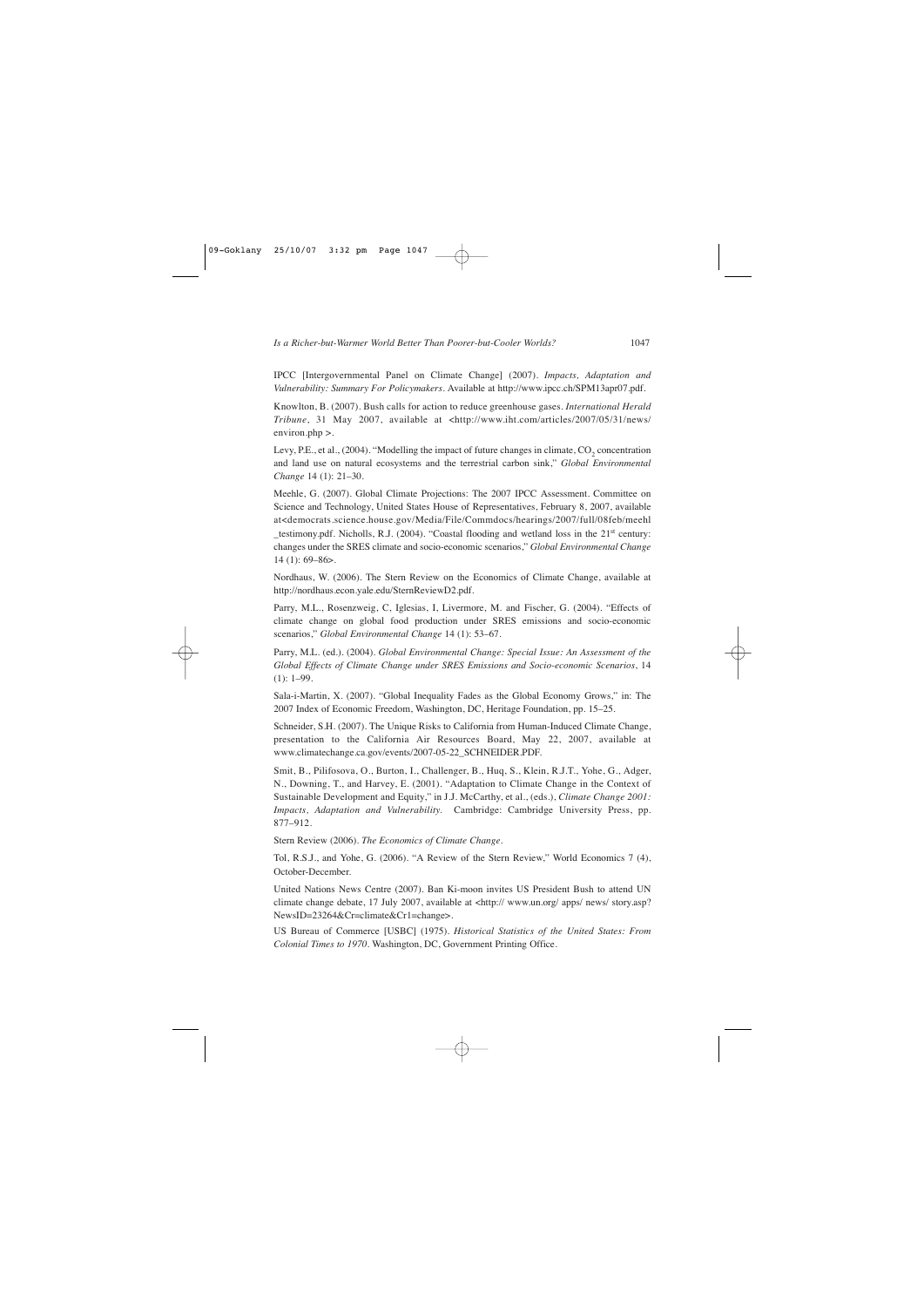IPCC [Intergovernmental Panel on Climate Change] (2007). *Impacts, Adaptation and Vulnerability: Summary For Policymakers.* Available at http://www.ipcc.ch/SPM13apr07.pdf.

Knowlton, B. (2007). Bush calls for action to reduce greenhouse gases. *International Herald Tribune*, 31 May 2007, available at <http://www.iht.com/articles/2007/05/31/news/ environ.php >.

Levy, P.E., et al.,  $(2004)$ . "Modelling the impact of future changes in climate,  $CO<sub>2</sub>$  concentration and land use on natural ecosystems and the terrestrial carbon sink," *Global Environmental Change* 14 (1): 21–30.

Meehle, G. (2007). Global Climate Projections: The 2007 IPCC Assessment. Committee on Science and Technology, United States House of Representatives, February 8, 2007, available at<democrats.science.house.gov/Media/File/Commdocs/hearings/2007/full/08feb/meehl testimony.pdf. Nicholls, R.J. (2004). "Coastal flooding and wetland loss in the  $21<sup>st</sup>$  century: changes under the SRES climate and socio-economic scenarios," *Global Environmental Change* 14 (1): 69–86>.

Nordhaus, W. (2006). The Stern Review on the Economics of Climate Change, available at http://nordhaus.econ.yale.edu/SternReviewD2.pdf.

Parry, M.L., Rosenzweig, C, Iglesias, I, Livermore, M. and Fischer, G. (2004). "Effects of climate change on global food production under SRES emissions and socio-economic scenarios," *Global Environmental Change* 14 (1): 53–67.

Parry, M.L. (ed.). (2004). *Global Environmental Change: Special Issue: An Assessment of the Global Effects of Climate Change under SRES Emissions and Socio-economic Scenarios*, 14  $(1): 1-99.$ 

Sala-i-Martin, X. (2007). "Global Inequality Fades as the Global Economy Grows," in: The 2007 Index of Economic Freedom, Washington, DC, Heritage Foundation, pp. 15–25.

Schneider, S.H. (2007). The Unique Risks to California from Human-Induced Climate Change, presentation to the California Air Resources Board, May 22, 2007, available at www.climatechange.ca.gov/events/2007-05-22\_SCHNEIDER.PDF.

Smit, B., Pilifosova, O., Burton, I., Challenger, B., Huq, S., Klein, R.J.T., Yohe, G., Adger, N., Downing, T., and Harvey, E. (2001). "Adaptation to Climate Change in the Context of Sustainable Development and Equity," in J.J. McCarthy, et al., (eds.), *Climate Change 2001: Impacts, Adaptation and Vulnerability.* Cambridge: Cambridge University Press, pp. 877–912.

Stern Review (2006). *The Economics of Climate Change*.

Tol, R.S.J., and Yohe, G. (2006). "A Review of the Stern Review," World Economics 7 (4), October-December.

United Nations News Centre (2007). Ban Ki-moon invites US President Bush to attend UN climate change debate, 17 July 2007, available at <http:// www.un.org/ apps/ news/ story.asp? NewsID=23264&Cr=climate&Cr1=change>.

US Bureau of Commerce [USBC] (1975). *Historical Statistics of the United States: From Colonial Times to 1970.* Washington, DC, Government Printing Office.